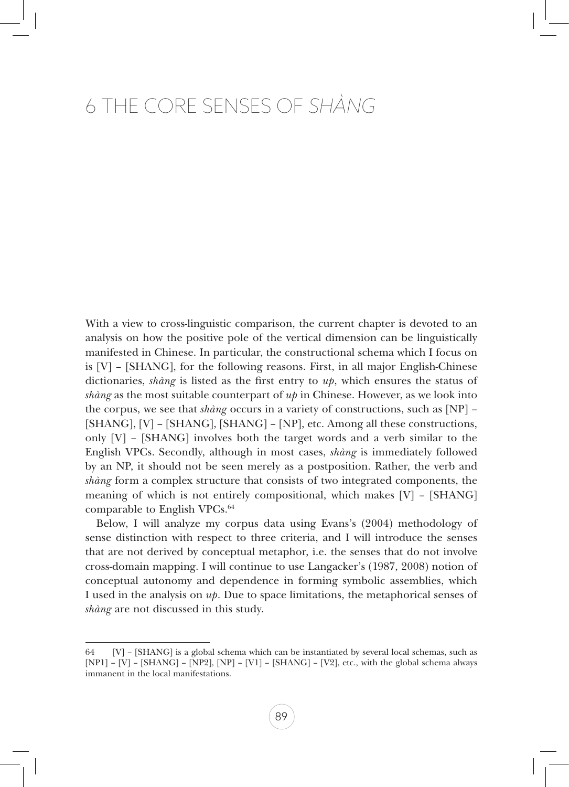# 6 The Core Senses of *Shàng*

With a view to cross-linguistic comparison, the current chapter is devoted to an analysis on how the positive pole of the vertical dimension can be linguistically manifested in Chinese. In particular, the constructional schema which I focus on is [V] – [SHANG], for the following reasons. First, in all major English-Chinese dictionaries, *shàng* is listed as the first entry to *up*, which ensures the status of *shàng* as the most suitable counterpart of *up* in Chinese. However, as we look into the corpus, we see that *shàng* occurs in a variety of constructions, such as [NP] – [SHANG], [V] – [SHANG], [SHANG] – [NP], etc. Among all these constructions, only  $[V]$  –  $[SHANG]$  involves both the target words and a verb similar to the English VPCs. Secondly, although in most cases, *shàng* is immediately followed by an NP, it should not be seen merely as a postposition. Rather, the verb and *shàng* form a complex structure that consists of two integrated components, the meaning of which is not entirely compositional, which makes [V] – [SHANG] comparable to English VPCs.<sup>64</sup>

Below, I will analyze my corpus data using Evans's (2004) methodology of sense distinction with respect to three criteria, and I will introduce the senses that are not derived by conceptual metaphor, i.e. the senses that do not involve cross-domain mapping. I will continue to use Langacker's (1987, 2008) notion of conceptual autonomy and dependence in forming symbolic assemblies, which I used in the analysis on *up*. Due to space limitations, the metaphorical senses of *shàng* are not discussed in this study.

<sup>64 [</sup>V] – [SHANG] is a global schema which can be instantiated by several local schemas, such as [NP1] – [V] – [SHANG] – [NP2], [NP] – [V1] – [SHANG] – [V2], etc., with the global schema always immanent in the local manifestations.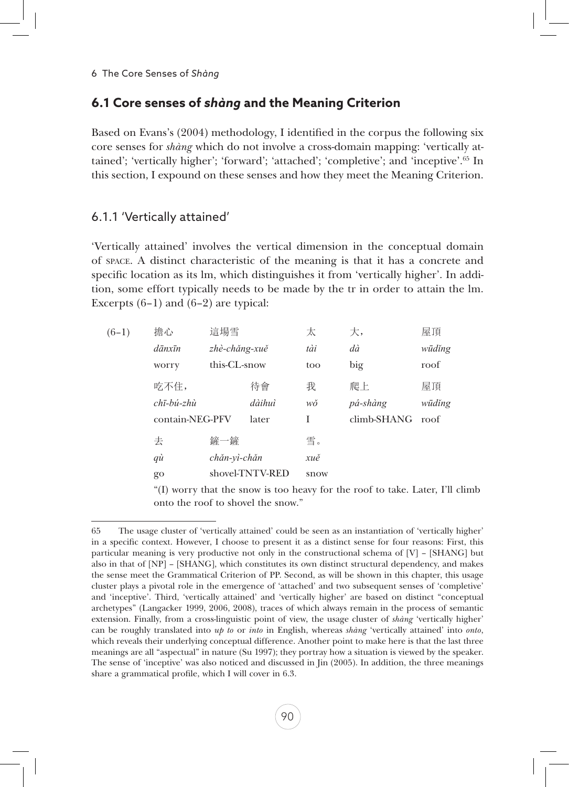# **6.1 Core senses of** *shàng* **and the Meaning Criterion**

Based on Evans's (2004) methodology, I identified in the corpus the following six core senses for *shàng* which do not involve a cross-domain mapping: 'vertically attained'; 'vertically higher'; 'forward'; 'attached'; 'completive'; and 'inceptive'.65 In this section, I expound on these senses and how they meet the Meaning Criterion.

## 6.1.1 'Vertically attained'

'Vertically attained' involves the vertical dimension in the conceptual domain of space. A distinct characteristic of the meaning is that it has a concrete and specific location as its lm, which distinguishes it from 'vertically higher'. In addition, some effort typically needs to be made by the tr in order to attain the lm. Excerpts  $(6-1)$  and  $(6-2)$  are typical:

| $(6-1)$ | 擔心                      | 這場雪           |                 | 太    | 大,          | 屋頂     |
|---------|-------------------------|---------------|-----------------|------|-------------|--------|
|         | $d\bar{a}$ nxīn         | zhè-chăng-xuě |                 | tài  | dà          | wūdĭng |
|         | worry                   | this-CL-snow  |                 | too  | big         | roof   |
|         | 吃不住,                    |               | 待會              | 我    | 爬上          | 屋頂     |
|         | $ch\bar{\iota}$ -bú-zhù |               | dàihuì          | wŏ   | pá-shàng    | wūdĭng |
|         | contain-NEG-PFV         |               | later           | T    | climb-SHANG | roof   |
|         | 去                       | 鏟一鏟           |                 | 雪。   |             |        |
|         | qù                      | chăn-vì-chăn  |                 | xuě  |             |        |
|         | go                      |               | shovel-TNTV-RED | snow |             |        |
|         |                         |               |                 |      |             |        |

"(I) worry that the snow is too heavy for the roof to take. Later, I'll climb onto the roof to shovel the snow."

<sup>65</sup> The usage cluster of 'vertically attained' could be seen as an instantiation of 'vertically higher' in a specific context. However, I choose to present it as a distinct sense for four reasons: First, this particular meaning is very productive not only in the constructional schema of [V] – [SHANG] but also in that of [NP] – [SHANG], which constitutes its own distinct structural dependency, and makes the sense meet the Grammatical Criterion of PP. Second, as will be shown in this chapter, this usage cluster plays a pivotal role in the emergence of 'attached' and two subsequent senses of 'completive' and 'inceptive'. Third, 'vertically attained' and 'vertically higher' are based on distinct "conceptual archetypes" (Langacker 1999, 2006, 2008), traces of which always remain in the process of semantic extension. Finally, from a cross-linguistic point of view, the usage cluster of *shàng* 'vertically higher' can be roughly translated into *up to* or *into* in English, whereas *shàng* 'vertically attained' into *onto*, which reveals their underlying conceptual difference. Another point to make here is that the last three meanings are all "aspectual" in nature (Su 1997); they portray how a situation is viewed by the speaker. The sense of 'inceptive' was also noticed and discussed in Jin (2005). In addition, the three meanings share a grammatical profile, which I will cover in 6.3.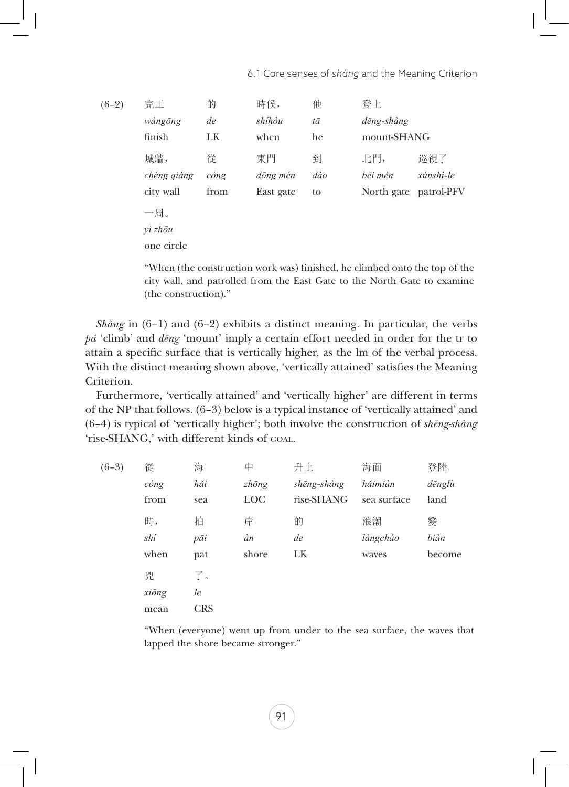| $(6-2)$ | 完工          | 的                     | 時候,       | 他   | 登上          |                       |
|---------|-------------|-----------------------|-----------|-----|-------------|-----------------------|
|         | wángōng     | de                    | shíhòu    | tā  | dēng-shàng  |                       |
|         | finish      | LK                    | when      | he  | mount-SHANG |                       |
|         | 城牆,         | 從                     | 東門        | 到   | 北門,         | 巡視了                   |
|         | chéng qiáng | $\omega$ <i>c</i> óng | dōng mén  | dào | běi mén     | xúnshì-le             |
|         | city wall   | from                  | East gate | to  |             | North gate patrol-PFV |
|         | 一周。         |                       |           |     |             |                       |
|         | $v$ ì zhōu  |                       |           |     |             |                       |
|         | one circle  |                       |           |     |             |                       |
|         |             |                       |           |     |             |                       |

"When (the construction work was) finished, he climbed onto the top of the city wall, and patrolled from the East Gate to the North Gate to examine (the construction)."

*Shàng* in (6–1) and (6–2) exhibits a distinct meaning. In particular, the verbs *pá* 'climb' and *dēng* 'mount' imply a certain effort needed in order for the tr to attain a specific surface that is vertically higher, as the lm of the verbal process. With the distinct meaning shown above, 'vertically attained' satisfies the Meaning Criterion.

Furthermore, 'vertically attained' and 'vertically higher' are different in terms of the NP that follows. (6–3) below is a typical instance of 'vertically attained' and (6–4) is typical of 'vertically higher'; both involve the construction of *shēng-shàng* 'rise-SHANG,' with different kinds of GOAL.

| $(6-3)$ | 從     | 海          | 中             | 升上          | 海面          | 登陸     |
|---------|-------|------------|---------------|-------------|-------------|--------|
|         | cóng  | hăi        | $zh\bar{o}ng$ | shēng-shàng | hăimiàn     | dēnglù |
|         | from  | sea        | <b>LOC</b>    | rise-SHANG  | sea surface | land   |
|         | 時,    | 拍          | 岸             | 的           | 浪潮          | 變      |
|         | shí   | pāi        | àn            | de          | làngcháo    | biàn   |
|         | when  | pat        | shore         | LK          | waves       | become |
|         | 兇     | 了。         |               |             |             |        |
|         | xiōng | le         |               |             |             |        |
|         | mean  | <b>CRS</b> |               |             |             |        |
|         |       |            |               |             |             |        |

"When (everyone) went up from under to the sea surface, the waves that lapped the shore became stronger."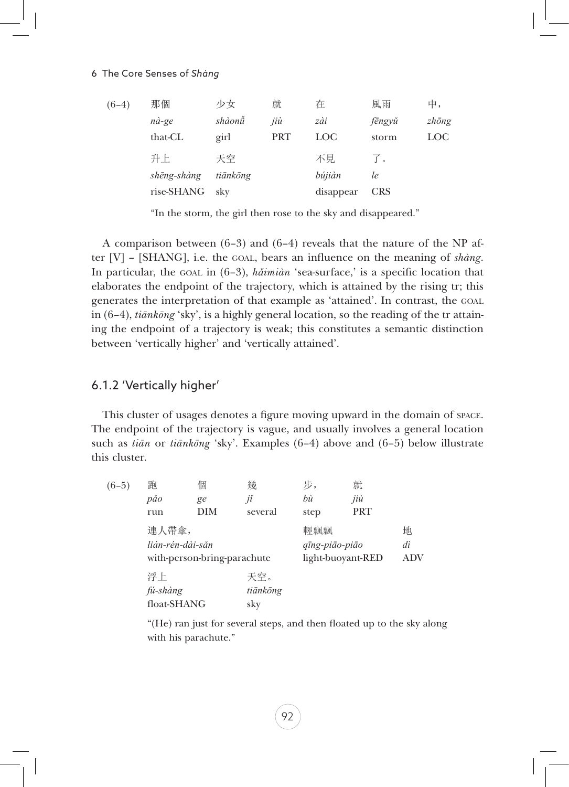#### 6 The Core Senses of *Shàng*

| $(6-4)$ | 那個          | 少女       | 就          | 在          | 風雨         | 中,            |
|---------|-------------|----------|------------|------------|------------|---------------|
|         | nà-ge       | shàonů   | jiù        | zài        | fēngyŭ     | $zh\bar{o}ng$ |
|         | that-CL     | girl     | <b>PRT</b> | <b>LOC</b> | storm      | LOC           |
|         | 升上          | 天空       |            | 不見         | $\int$ o   |               |
|         | shēng-shàng | tiānkōng |            | bújiàn     | le         |               |
|         | rise-SHANG  | sky      |            | disappear  | <b>CRS</b> |               |
|         |             |          |            |            |            |               |

"In the storm, the girl then rose to the sky and disappeared."

A comparison between (6–3) and (6–4) reveals that the nature of the NP after [V] – [SHANG], i.e. the goal, bears an influence on the meaning of *shàng*. In particular, the goal in (6–3), *hǎimiàn* 'sea-surface,' is a specific location that elaborates the endpoint of the trajectory, which is attained by the rising tr; this generates the interpretation of that example as 'attained'. In contrast, the goal in (6–4), *tiānkōng* 'sky', is a highly general location, so the reading of the tr attaining the endpoint of a trajectory is weak; this constitutes a semantic distinction between 'vertically higher' and 'vertically attained'.

#### 6.1.2 'Vertically higher'

This cluster of usages denotes a figure moving upward in the domain of space. The endpoint of the trajectory is vague, and usually involves a general location such as *tiān* or *tiānkōng* 'sky'. Examples (6–4) above and (6–5) below illustrate this cluster.

| $(6-5)$ | 跑                           | 個   | 幾        | 步,                | 就          |     |  |  |
|---------|-----------------------------|-----|----------|-------------------|------------|-----|--|--|
|         | păo                         | ge  | jĭ       | bù                | jiù        |     |  |  |
|         | run                         | DIM | several  | step              | <b>PRT</b> |     |  |  |
|         | 連人帶傘,                       |     |          | 輕飄飄               |            | 地   |  |  |
|         | lián-rén-dài-săn            |     |          | qīng-piāo-piāo    |            | dì  |  |  |
|         | with-person-bring-parachute |     |          | light-buoyant-RED |            | ADV |  |  |
|         | 浮上                          |     | 天空。      |                   |            |     |  |  |
|         | fú-shàng                    |     | tiānkōng |                   |            |     |  |  |
|         | float-SHANG                 |     | sky      |                   |            |     |  |  |

"(He) ran just for several steps, and then floated up to the sky along with his parachute."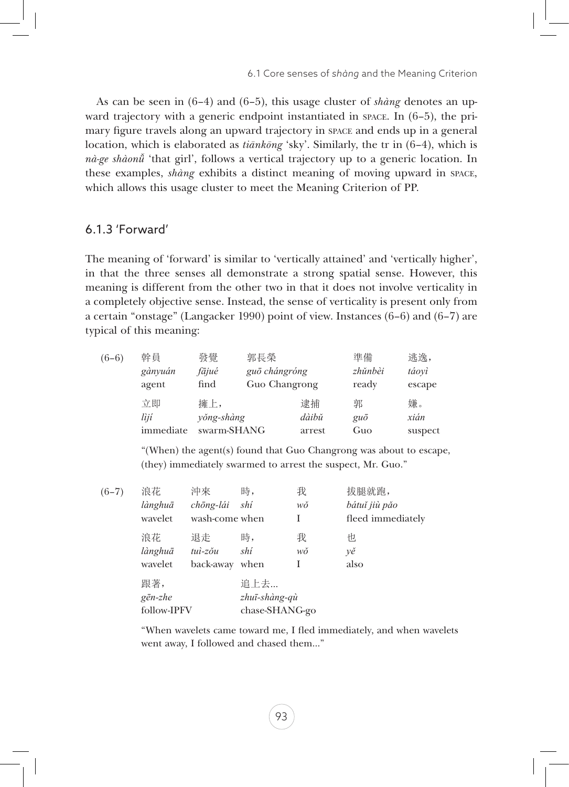As can be seen in (6–4) and (6–5), this usage cluster of *shàng* denotes an upward trajectory with a generic endpoint instantiated in space. In  $(6-5)$ , the primary figure travels along an upward trajectory in space and ends up in a general location, which is elaborated as *tiānkōng* 'sky'. Similarly, the tr in (6–4), which is *nà-ge shàonǚ* 'that girl', follows a vertical trajectory up to a generic location. In these examples, *shàng* exhibits a distinct meaning of moving upward in space, which allows this usage cluster to meet the Meaning Criterion of PP.

### 6.1.3 'Forward'

The meaning of 'forward' is similar to 'vertically attained' and 'vertically higher', in that the three senses all demonstrate a strong spatial sense. However, this meaning is different from the other two in that it does not involve verticality in a completely objective sense. Instead, the sense of verticality is present only from a certain "onstage" (Langacker 1990) point of view. Instances (6–6) and (6–7) are typical of this meaning:

| $(6-6)$ | 幹員        | 發覺          | 郭長榮           |        | 準備          | 逃逸,     |
|---------|-----------|-------------|---------------|--------|-------------|---------|
|         | gànyuán   | fājué       | guō chángróng |        | zhŭnbèi     | táoyì   |
|         | agent     | find        | Guo Changrong |        | ready       | escape  |
|         | 立即        | 擁上,         |               | 逮捕     | 郭           | 嫌。      |
|         | lìjí      | yŏng-shàng  |               | dàibǔ  | $gu\bar{o}$ | xián    |
|         | immediate | swarm-SHANG |               | arrest | Guo         | suspect |
|         |           |             |               |        |             |         |

"(When) the agent(s) found that Guo Changrong was about to escape, (they) immediately swarmed to arrest the suspect, Mr. Guo."

| $(6-7)$ | 浪花               | 沖來             | 時,             | 我  | 拔腿就跑,             |
|---------|------------------|----------------|----------------|----|-------------------|
|         | lànghuā          | chōng-lái      | shí            | wŏ | bátuť jiù pǎo     |
|         | wavelet          | wash-come when |                | I  | fleed immediately |
|         | 浪花               | 退走             | 時,             | 我  | 怛                 |
|         | lànghuā          | $tui$ -zŏu     | shí            | wŏ | yě                |
|         | wavelet          | back-away      | when           | I  | also              |
|         | 跟著,              |                | 追上去…           |    |                   |
|         | $g\bar{e}n$ -zhe |                | zhuī-shàng-qù  |    |                   |
|         | follow-IPFV      |                | chase-SHANG-go |    |                   |

"When wavelets came toward me, I fled immediately, and when wavelets went away, I followed and chased them…"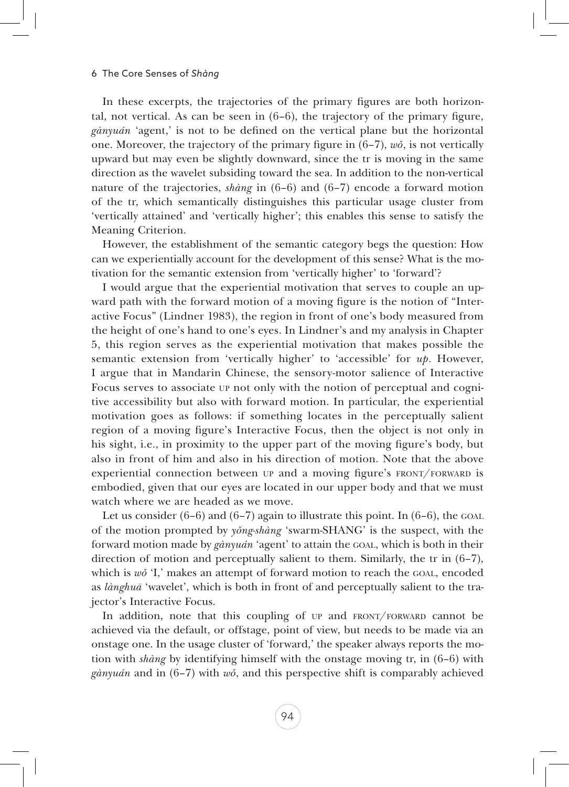In these excerpts, the trajectories of the primary figures are both horizontal, not vertical. As can be seen in (6–6), the trajectory of the primary figure, *gànyuán* 'agent,' is not to be defined on the vertical plane but the horizontal one. Moreover, the trajectory of the primary figure in (6–7), *wǒ*, is not vertically upward but may even be slightly downward, since the tr is moving in the same direction as the wavelet subsiding toward the sea. In addition to the non-vertical nature of the trajectories, *shàng* in (6–6) and (6–7) encode a forward motion of the tr, which semantically distinguishes this particular usage cluster from 'vertically attained' and 'vertically higher'; this enables this sense to satisfy the Meaning Criterion.

However, the establishment of the semantic category begs the question: How can we experientially account for the development of this sense? What is the motivation for the semantic extension from 'vertically higher' to 'forward'?

I would argue that the experiential motivation that serves to couple an upward path with the forward motion of a moving figure is the notion of "Interactive Focus" (Lindner 1983), the region in front of one's body measured from the height of one's hand to one's eyes. In Lindner's and my analysis in Chapter 5, this region serves as the experiential motivation that makes possible the semantic extension from 'vertically higher' to 'accessible' for *up*. However, I argue that in Mandarin Chinese, the sensory-motor salience of Interactive Focus serves to associate up not only with the notion of perceptual and cognitive accessibility but also with forward motion. In particular, the experiential motivation goes as follows: if something locates in the perceptually salient region of a moving figure's Interactive Focus, then the object is not only in his sight, i.e., in proximity to the upper part of the moving figure's body, but also in front of him and also in his direction of motion. Note that the above experiential connection between  $UP$  and a moving figure's FRONT/FORWARD is embodied, given that our eyes are located in our upper body and that we must watch where we are headed as we move.

Let us consider  $(6-6)$  and  $(6-7)$  again to illustrate this point. In  $(6-6)$ , the GOAL of the motion prompted by *yǒng-shàng* 'swarm-SHANG' is the suspect, with the forward motion made by *gànyuán* 'agent' to attain the goal, which is both in their direction of motion and perceptually salient to them. Similarly, the tr in (6–7), which is *w*<sup> $\delta$ </sup> 'I,' makes an attempt of forward motion to reach the GOAL, encoded as *lànghuā* 'wavelet', which is both in front of and perceptually salient to the trajector's Interactive Focus.

In addition, note that this coupling of up and FRONT/FORWARD cannot be achieved via the default, or offstage, point of view, but needs to be made via an onstage one. In the usage cluster of 'forward,' the speaker always reports the motion with *shàng* by identifying himself with the onstage moving tr, in (6–6) with *gànyuán* and in (6–7) with *wǒ*, and this perspective shift is comparably achieved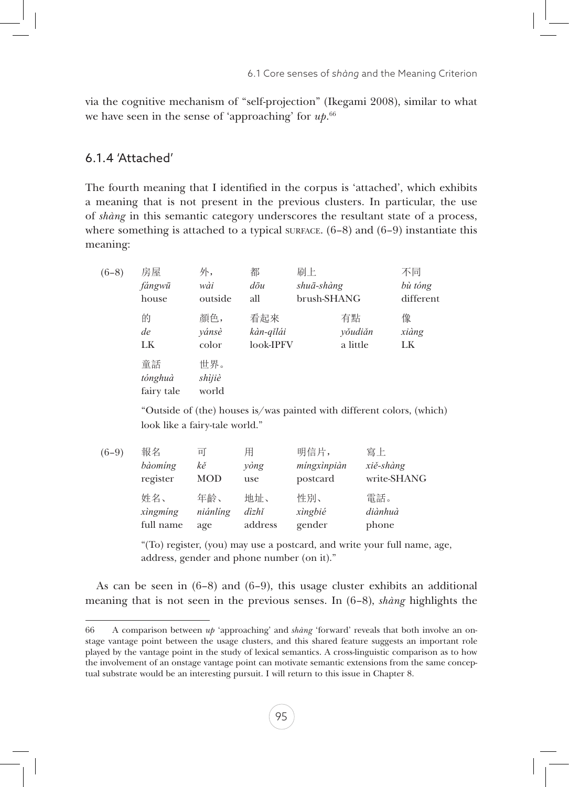via the cognitive mechanism of "self-projection" (Ikegami 2008), similar to what we have seen in the sense of 'approaching' for *up*. 66

### 6.1.4 'Attached'

The fourth meaning that I identified in the corpus is 'attached', which exhibits a meaning that is not present in the previous clusters. In particular, the use of *shàng* in this semantic category underscores the resultant state of a process, where something is attached to a typical surface.  $(6-8)$  and  $(6-9)$  instantiate this meaning:

| $(6-8)$ | 房屋<br>fángwū<br>house       | 外,<br>wài<br>outside   | 都<br>$d\bar{\sigma}u$<br>all  | 刷上<br>shuā-shàng<br>brush-SHANG |                           | 不同<br>bù tóng<br>different |
|---------|-----------------------------|------------------------|-------------------------------|---------------------------------|---------------------------|----------------------------|
|         | 的<br>de<br>LK               | 顏色,<br>vánsè<br>color  | 看起來<br>kàn-qĭlái<br>look-IPFV |                                 | 有點<br>yŏudiăn<br>a little | 像<br>xiàng<br>LK           |
|         | 童話<br>tónghuà<br>fairy tale | 世界。<br>shìjiè<br>world |                               |                                 |                           |                            |

"Outside of (the) houses is/was painted with different colors, (which) look like a fairy-tale world."

| $(6-9)$ | 報名        | 미        | 用       | 明信片,        | 寫上          |
|---------|-----------|----------|---------|-------------|-------------|
|         | bàoming   | kě       | yòng    | míngxìnpiàn | xiě-shàng   |
|         | register  | MOD      | use     | postcard    | write-SHANG |
|         | 姓名、       | 年齡、      | 地址、     | 性別、         | 電話。         |
|         | xingming  | niánlíng | dìzhǐ   | xìngbié     | diànhuà     |
|         | full name | age      | address | gender      | phone       |

"(To) register, (you) may use a postcard, and write your full name, age, address, gender and phone number (on it)."

As can be seen in  $(6-8)$  and  $(6-9)$ , this usage cluster exhibits an additional meaning that is not seen in the previous senses. In (6–8), *shàng* highlights the

<sup>66</sup> A comparison between *up* 'approaching' and *shàng* 'forward' reveals that both involve an onstage vantage point between the usage clusters, and this shared feature suggests an important role played by the vantage point in the study of lexical semantics. A cross-linguistic comparison as to how the involvement of an onstage vantage point can motivate semantic extensions from the same conceptual substrate would be an interesting pursuit. I will return to this issue in Chapter 8.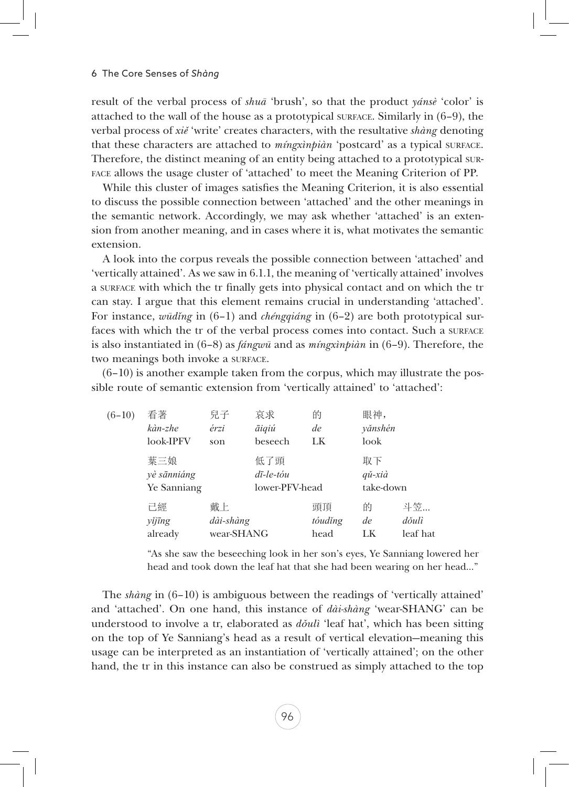result of the verbal process of *shuā* 'brush', so that the product *yánsè* 'color' is attached to the wall of the house as a prototypical surface. Similarly in (6–9), the verbal process of *xiě* 'write' creates characters, with the resultative *shàng* denoting that these characters are attached to *míngxìnpiàn* 'postcard' as a typical surface. Therefore, the distinct meaning of an entity being attached to a prototypical surface allows the usage cluster of 'attached' to meet the Meaning Criterion of PP.

While this cluster of images satisfies the Meaning Criterion, it is also essential to discuss the possible connection between 'attached' and the other meanings in the semantic network. Accordingly, we may ask whether 'attached' is an extension from another meaning, and in cases where it is, what motivates the semantic extension.

A look into the corpus reveals the possible connection between 'attached' and 'vertically attained'. As we saw in 6.1.1, the meaning of 'vertically attained' involves a surface with which the tr finally gets into physical contact and on which the tr can stay. I argue that this element remains crucial in understanding 'attached'. For instance, *wūdǐng* in (6–1) and *chéngqiáng* in (6–2) are both prototypical surfaces with which the tr of the verbal process comes into contact. Such a surface is also instantiated in (6–8) as *fángwū* and as *míngxìnpiàn* in (6–9). Therefore, the two meanings both invoke a surface.

(6–10) is another example taken from the corpus, which may illustrate the possible route of semantic extension from 'vertically attained' to 'attached':

| $(6-10)$ | 看著<br>kàn-zhe<br>look-IPFV        | 兒子<br>érzi<br>son             | 哀求<br>āiqiú<br>beseech                          | 的<br>de<br>LK         | 眼神,<br>yănshén<br>look               |                         |
|----------|-----------------------------------|-------------------------------|-------------------------------------------------|-----------------------|--------------------------------------|-------------------------|
|          | 葉三娘<br>yè sānniáng<br>Ye Sanniang |                               | 低了頭<br>$d\bar{\iota}$ -le-tóu<br>lower-PFV-head |                       | 取下<br>$q\check{u}$ -xià<br>take-down |                         |
|          | 己經<br>yĭjīng<br>already           | 戴上<br>dài-shàng<br>wear-SHANG |                                                 | 頭頂<br>tóudĭng<br>head | 的<br>de<br>LK                        | 斗笠<br>dŏulì<br>leaf hat |

"As she saw the beseeching look in her son's eyes, Ye Sanniang lowered her head and took down the leaf hat that she had been wearing on her head…"

The *shàng* in (6–10) is ambiguous between the readings of 'vertically attained' and 'attached'. On one hand, this instance of *dài-shàng* 'wear-SHANG' can be understood to involve a tr, elaborated as *dǒulì* 'leaf hat', which has been sitting on the top of Ye Sanniang's head as a result of vertical elevation—meaning this usage can be interpreted as an instantiation of 'vertically attained'; on the other hand, the tr in this instance can also be construed as simply attached to the top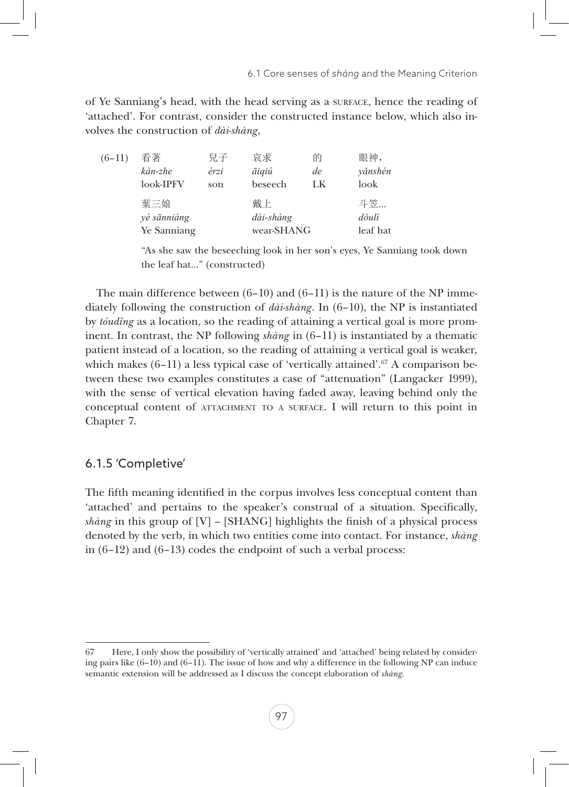of Ye Sanniang's head, with the head serving as a surface, hence the reading of 'attached'. For contrast, consider the constructed instance below, which also involves the construction of *dài-shàng*,

| $(6-11)$ | 看著          | 兒子   | 哀求         | 的  | 眼神,      |
|----------|-------------|------|------------|----|----------|
|          | kàn-zhe     | érzi | āiqiú      | de | yănshén  |
|          | look-IPFV   | son  | beseech    | LK | look     |
|          | 葉三娘         |      | 戴上         |    | 斗笠       |
|          | yè sānniáng |      | dài-shàng  |    | dŏulì    |
|          | Ye Sanniang |      | wear-SHANG |    | leaf hat |

"As she saw the beseeching look in her son's eyes, Ye Sanniang took down the leaf hat…" (constructed)

The main difference between  $(6-10)$  and  $(6-11)$  is the nature of the NP immediately following the construction of *dài-shàng*. In (6–10), the NP is instantiated by *tóudǐng* as a location, so the reading of attaining a vertical goal is more prominent. In contrast, the NP following *shàng* in (6–11) is instantiated by a thematic patient instead of a location, so the reading of attaining a vertical goal is weaker, which makes  $(6-11)$  a less typical case of 'vertically attained'.<sup>67</sup> A comparison between these two examples constitutes a case of "attenuation" (Langacker 1999), with the sense of vertical elevation having faded away, leaving behind only the conceptual content of attachment to <sup>a</sup> surface. I will return to this point in Chapter 7.

# 6.1.5 'Completive'

The fifth meaning identified in the corpus involves less conceptual content than 'attached' and pertains to the speaker's construal of a situation. Specifically, *shàng* in this group of [V] – [SHANG] highlights the finish of a physical process denoted by the verb, in which two entities come into contact. For instance, *shàng* in (6–12) and (6–13) codes the endpoint of such a verbal process:

<sup>67</sup> Here, I only show the possibility of 'vertically attained' and 'attached' being related by considering pairs like  $(6-10)$  and  $(6-11)$ . The issue of how and why a difference in the following NP can induce semantic extension will be addressed as I discuss the concept elaboration of *shàng*.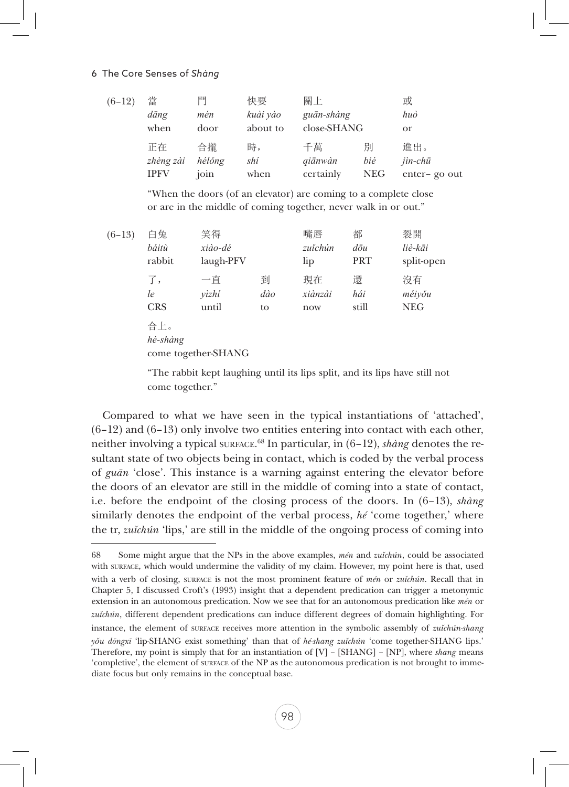#### 6 The Core Senses of *Shàng*

| $(6-12)$ | 當<br>dāng<br>when | 門<br>mén<br>door | 快要<br>kuài yào<br>about to | 關上<br>guān-shàng<br>close-SHANG |            | 或<br>huò<br>or |
|----------|-------------------|------------------|----------------------------|---------------------------------|------------|----------------|
|          | 正在                | 合攏               | 時,                         | 千萬                              | 別          | 進出。            |
|          | zhèng zài         | hélŏng           | shí                        | qiānwàn                         | bié        | $jin$ - $chi$  |
|          | <b>IPFV</b>       | join             | when                       | certainly                       | <b>NEG</b> | enter-go out   |

"When the doors (of an elevator) are coming to a complete close or are in the middle of coming together, never walk in or out."

| $(6-13)$ | 白兔<br>báitù<br>rabbit  | 笑得<br>xiào-dé<br>laugh-PFV |                | 嘴唇<br>zuĭchún<br>lip | 都<br>$d\bar{\sigma}u$<br>PRT | 裂開<br>liè-kāi<br>split-open |
|----------|------------------------|----------------------------|----------------|----------------------|------------------------------|-----------------------------|
|          | 了,<br>le<br><b>CRS</b> | 一直<br>vìzhí<br>until       | 到<br>dào<br>to | 現在<br>xiànzài<br>now | 還<br>hái<br>still            | 沒有<br>méiyǒu<br><b>NEG</b>  |
|          | 合上。<br>hé-shàng        | come together-SHANG        |                |                      |                              |                             |

"The rabbit kept laughing until its lips split, and its lips have still not come together."

Compared to what we have seen in the typical instantiations of 'attached',  $(6-12)$  and  $(6-13)$  only involve two entities entering into contact with each other, neither involving a typical surface.<sup>68</sup> In particular, in (6–12), *shàng* denotes the resultant state of two objects being in contact, which is coded by the verbal process of *guān* 'close'. This instance is a warning against entering the elevator before the doors of an elevator are still in the middle of coming into a state of contact, i.e. before the endpoint of the closing process of the doors. In (6–13), *shàng* similarly denotes the endpoint of the verbal process, *hé* 'come together,' where the tr, *zuǐchún* 'lips,' are still in the middle of the ongoing process of coming into

<sup>68</sup> Some might argue that the NPs in the above examples, *mén* and *zuǐchún*, could be associated with surface, which would undermine the validity of my claim. However, my point here is that, used with a verb of closing, surface is not the most prominent feature of *mén* or *zuǐchún*. Recall that in Chapter 5, I discussed Croft's (1993) insight that a dependent predication can trigger a metonymic extension in an autonomous predication. Now we see that for an autonomous predication like *mén* or *zuǐchún*, different dependent predications can induce different degrees of domain highlighting. For instance, the element of surface receives more attention in the symbolic assembly of *zuǐchún-shang yǒu dōngxī* 'lip-SHANG exist something' than that of *hé-shang zuǐchún* 'come together-SHANG lips.' Therefore, my point is simply that for an instantiation of [V] – [SHANG] – [NP], where *shang* means 'completive', the element of surface of the NP as the autonomous predication is not brought to immediate focus but only remains in the conceptual base.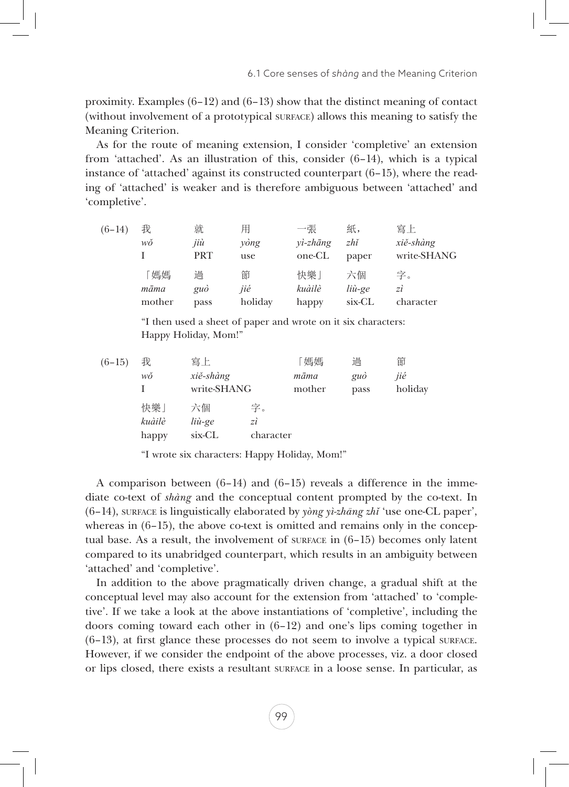proximity. Examples  $(6-12)$  and  $(6-13)$  show that the distinct meaning of contact (without involvement of a prototypical surface) allows this meaning to satisfy the Meaning Criterion.

As for the route of meaning extension, I consider 'completive' an extension from 'attached'. As an illustration of this, consider (6–14), which is a typical instance of 'attached' against its constructed counterpart  $(6-15)$ , where the reading of 'attached' is weaker and is therefore ambiguous between 'attached' and 'completive'.

| $(6-14)$ | 我      | 就          | 用       | 一張          | 紙,     | 寫上          |
|----------|--------|------------|---------|-------------|--------|-------------|
|          | wŏ     | jiù        | yòng    | $vi$ -zhāng | zhi    | xiě-shàng   |
|          |        | <b>PRT</b> | use     | one-CL      | paper  | write-SHANG |
|          | 媽媽     | 過          | 節       | 快樂」         | 六個     | 字。          |
|          | māma   | guò        | jié     | kuàilè      | liù-ge | zì          |
|          | mother | pass       | holiday | happy       | six-CL | character   |
|          |        |            |         |             |        |             |

"I then used a sheet of paper and wrote on it six characters: Happy Holiday, Mom!"

| $(6-15)$ | 我      | 寫上          |           | 「媽媽    | 過    | 節       |
|----------|--------|-------------|-----------|--------|------|---------|
|          | wŏ     | xiě-shàng   |           | māma   | guò  | jié     |
|          |        | write-SHANG |           | mother | pass | holiday |
|          | 快樂」    | 六個          | 字。        |        |      |         |
|          | kuàilè | liù-ge      | zì        |        |      |         |
|          | happy  | six-CL      | character |        |      |         |

"I wrote six characters: Happy Holiday, Mom!"

A comparison between (6–14) and (6–15) reveals a difference in the immediate co-text of *shàng* and the conceptual content prompted by the co-text. In (6–14), surface is linguistically elaborated by *yòng yì-zhāng zhǐ* 'use one-CL paper', whereas in  $(6-15)$ , the above co-text is omitted and remains only in the conceptual base. As a result, the involvement of surface in  $(6-15)$  becomes only latent compared to its unabridged counterpart, which results in an ambiguity between 'attached' and 'completive'.

In addition to the above pragmatically driven change, a gradual shift at the conceptual level may also account for the extension from 'attached' to 'completive'. If we take a look at the above instantiations of 'completive', including the doors coming toward each other in  $(6-12)$  and one's lips coming together in  $(6-13)$ , at first glance these processes do not seem to involve a typical surface. However, if we consider the endpoint of the above processes, viz. a door closed or lips closed, there exists a resultant surface in a loose sense. In particular, as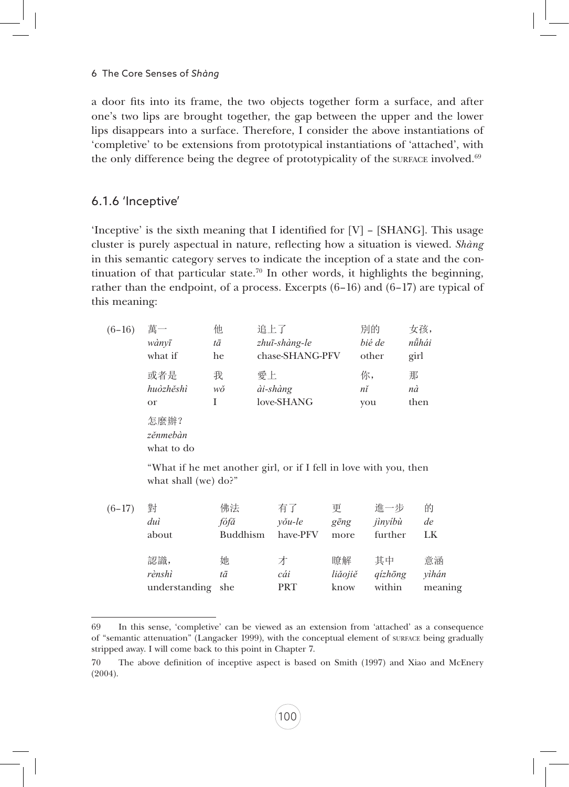a door fits into its frame, the two objects together form a surface, and after one's two lips are brought together, the gap between the upper and the lower lips disappears into a surface. Therefore, I consider the above instantiations of 'completive' to be extensions from prototypical instantiations of 'attached', with the only difference being the degree of prototypicality of the surface involved. $69$ 

#### 6.1.6 'Inceptive'

'Inceptive' is the sixth meaning that I identified for [V] – [SHANG]. This usage cluster is purely aspectual in nature, reflecting how a situation is viewed. *Shàng* in this semantic category serves to indicate the inception of a state and the continuation of that particular state.<sup>70</sup> In other words, it highlights the beginning, rather than the endpoint, of a process. Excerpts (6–16) and (6–17) are typical of this meaning:

| $(6-16)$ | 萬一                             | 他  | 追上了             | 別的     | 女孩,   |
|----------|--------------------------------|----|-----------------|--------|-------|
|          | wànvī                          | tā | zhuī-shàng-le   | bié de | nǚhái |
|          | what if                        | he | chase-SHANG-PFV | other  | girl  |
|          | 或者是                            | 我  | 愛上              | 你,     | 那     |
|          | huòzhěshì                      | wŏ | ài-shàng        | nĭ     | nà    |
|          | <sub>or</sub>                  | I  | love-SHANG      | you    | then  |
|          | 怎麼辦?<br>zěnmebàn<br>what to do |    |                 |        |       |

What if he met another girl, or if I fell in love with you, then what shall (we) do?"

| $(6-17)$ | 對                                  | 佛法              | 有了              | 更                     | 谁一步                             | 的                      |
|----------|------------------------------------|-----------------|-----------------|-----------------------|---------------------------------|------------------------|
|          | duì                                | fófă            | <i>v</i> ŏu-le  | gēng                  | jìnyíbù                         | de                     |
|          | about                              | <b>Buddhism</b> | have-PFV        | more                  | further                         | LK                     |
|          | 認識,<br>rènshì<br>understanding she | 她<br>tā         | オ<br>cái<br>PRT | 膣解<br>liăojiě<br>know | 其中<br>$qizh\bar{o}ng$<br>within | 意涵<br>vìhán<br>meaning |

<sup>69</sup> In this sense, 'completive' can be viewed as an extension from 'attached' as a consequence of "semantic attenuation" (Langacker 1999), with the conceptual element of surface being gradually stripped away. I will come back to this point in Chapter 7.

<sup>70</sup> The above definition of inceptive aspect is based on Smith (1997) and Xiao and McEnery (2004).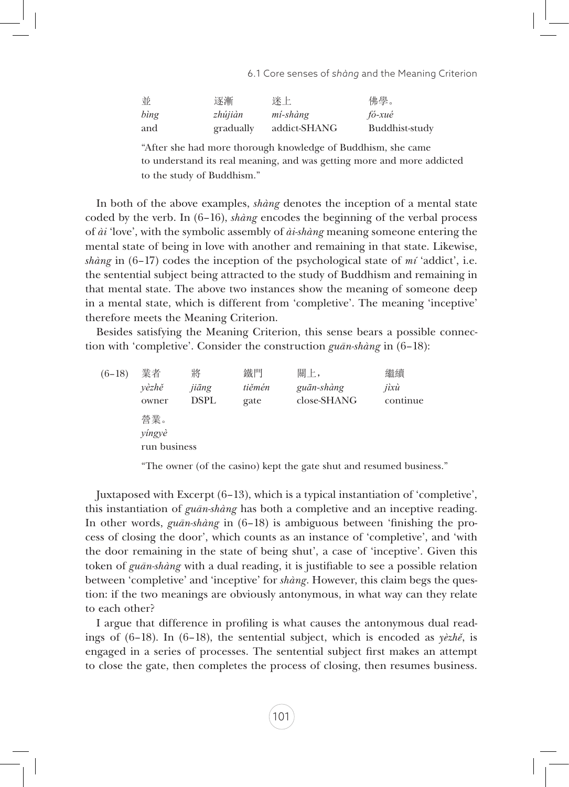| 並    | 逐漸        | 迷上           | 佛學。            |
|------|-----------|--------------|----------------|
| bing | zhújiàn   | mí-shàng     | fó-xué         |
| and  | gradually | addict-SHANG | Buddhist-study |

"After she had more thorough knowledge of Buddhism, she came to understand its real meaning, and was getting more and more addicted to the study of Buddhism."

In both of the above examples, *shàng* denotes the inception of a mental state coded by the verb. In (6–16), *shàng* encodes the beginning of the verbal process of *ài* 'love', with the symbolic assembly of *ài-shàng* meaning someone entering the mental state of being in love with another and remaining in that state. Likewise, *shàng* in (6–17) codes the inception of the psychological state of *mí* 'addict', i.e. the sentential subject being attracted to the study of Buddhism and remaining in that mental state. The above two instances show the meaning of someone deep in a mental state, which is different from 'completive'. The meaning 'inceptive' therefore meets the Meaning Criterion.

Besides satisfying the Meaning Criterion, this sense bears a possible connection with 'completive'. Consider the construction *guān-shàng* in (6–18):

| $(6-18)$ | 業者           | 將           | 鐵門     | 關上,         | 繼續       |
|----------|--------------|-------------|--------|-------------|----------|
|          | vèzhě        | jiāng       | tiěmén | guān-shàng  | jixù     |
|          | owner        | <b>DSPL</b> | gate   | close-SHANG | continue |
|          | 營業。          |             |        |             |          |
|          | yíngyè       |             |        |             |          |
|          | run business |             |        |             |          |
|          |              |             |        |             |          |

"The owner (of the casino) kept the gate shut and resumed business."

Juxtaposed with Excerpt (6–13), which is a typical instantiation of 'completive', this instantiation of *guān-shàng* has both a completive and an inceptive reading. In other words, *guān-shàng* in (6–18) is ambiguous between 'finishing the process of closing the door', which counts as an instance of 'completive', and 'with the door remaining in the state of being shut', a case of 'inceptive'. Given this token of *guān-shàng* with a dual reading, it is justifiable to see a possible relation between 'completive' and 'inceptive' for *shàng*. However, this claim begs the question: if the two meanings are obviously antonymous, in what way can they relate to each other?

I argue that difference in profiling is what causes the antonymous dual readings of (6–18). In (6–18), the sentential subject, which is encoded as *yèzhě*, is engaged in a series of processes. The sentential subject first makes an attempt to close the gate, then completes the process of closing, then resumes business.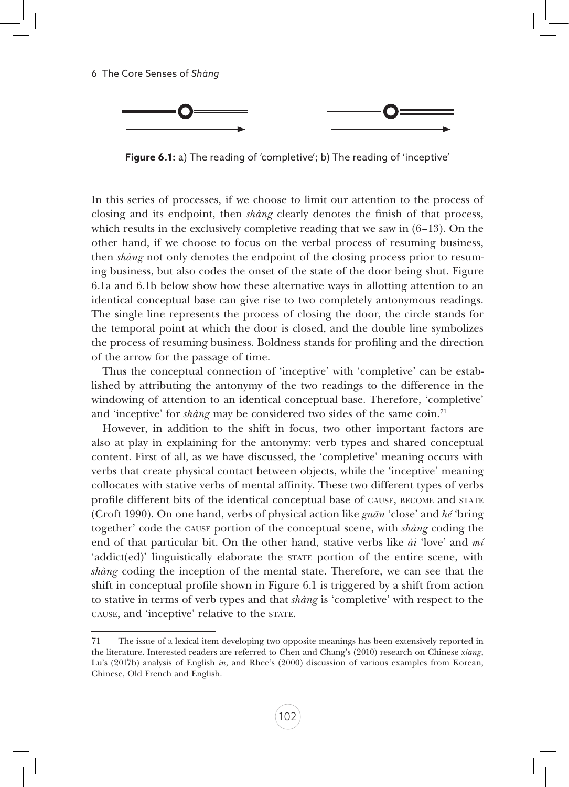

**Figure 6.1:** a) The reading of 'completive'; b) The reading of 'inceptive'

In this series of processes, if we choose to limit our attention to the process of closing and its endpoint, then *shàng* clearly denotes the finish of that process, which results in the exclusively completive reading that we saw in  $(6-13)$ . On the other hand, if we choose to focus on the verbal process of resuming business, then *shàng* not only denotes the endpoint of the closing process prior to resuming business, but also codes the onset of the state of the door being shut. Figure 6.1a and 6.1b below show how these alternative ways in allotting attention to an identical conceptual base can give rise to two completely antonymous readings. The single line represents the process of closing the door, the circle stands for the temporal point at which the door is closed, and the double line symbolizes the process of resuming business. Boldness stands for profiling and the direction of the arrow for the passage of time.

Thus the conceptual connection of 'inceptive' with 'completive' can be established by attributing the antonymy of the two readings to the difference in the windowing of attention to an identical conceptual base. Therefore, 'completive' and 'inceptive' for *shàng* may be considered two sides of the same coin.<sup>71</sup>

However, in addition to the shift in focus, two other important factors are also at play in explaining for the antonymy: verb types and shared conceptual content. First of all, as we have discussed, the 'completive' meaning occurs with verbs that create physical contact between objects, while the 'inceptive' meaning collocates with stative verbs of mental affinity. These two different types of verbs profile different bits of the identical conceptual base of cause, become and state (Croft 1990). On one hand, verbs of physical action like *guān* 'close' and *hé* 'bring together' code the cause portion of the conceptual scene, with *shàng* coding the end of that particular bit. On the other hand, stative verbs like *ài* 'love' and *mí*  'addict(ed)' linguistically elaborate the state portion of the entire scene, with *shàng* coding the inception of the mental state. Therefore, we can see that the shift in conceptual profile shown in Figure 6.1 is triggered by a shift from action to stative in terms of verb types and that *shàng* is 'completive' with respect to the cause, and 'inceptive' relative to the state.

<sup>71</sup> The issue of a lexical item developing two opposite meanings has been extensively reported in the literature. Interested readers are referred to Chen and Chang's (2010) research on Chinese *xiang*, Lu's (2017b) analysis of English *in*, and Rhee's (2000) discussion of various examples from Korean, Chinese, Old French and English.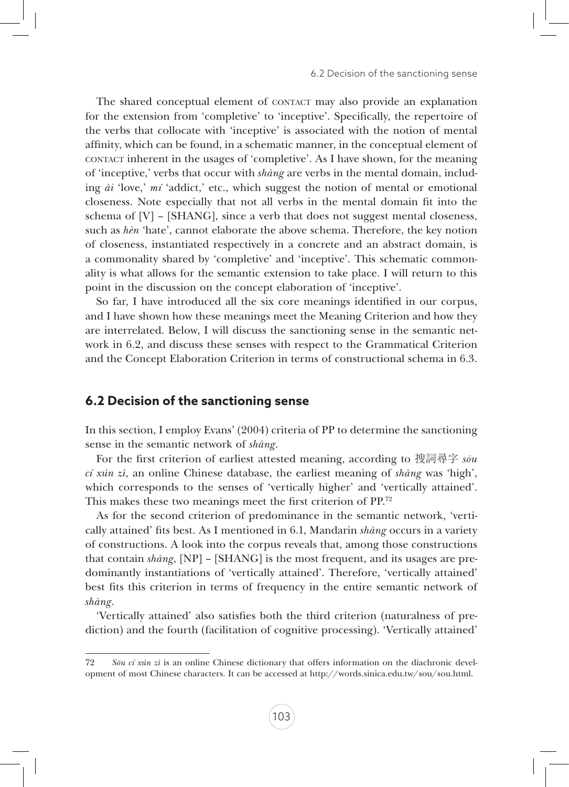The shared conceptual element of CONTACT may also provide an explanation for the extension from 'completive' to 'inceptive'. Specifically, the repertoire of the verbs that collocate with 'inceptive' is associated with the notion of mental affinity, which can be found, in a schematic manner, in the conceptual element of contact inherent in the usages of 'completive'. As I have shown, for the meaning of 'inceptive,' verbs that occur with *shàng* are verbs in the mental domain, including *ài* 'love,' *mí* 'addict,' etc., which suggest the notion of mental or emotional closeness. Note especially that not all verbs in the mental domain fit into the schema of [V] – [SHANG], since a verb that does not suggest mental closeness, such as *hèn* 'hate', cannot elaborate the above schema. Therefore, the key notion of closeness, instantiated respectively in a concrete and an abstract domain, is a commonality shared by 'completive' and 'inceptive'. This schematic commonality is what allows for the semantic extension to take place. I will return to this point in the discussion on the concept elaboration of 'inceptive'.

So far, I have introduced all the six core meanings identified in our corpus, and I have shown how these meanings meet the Meaning Criterion and how they are interrelated. Below, I will discuss the sanctioning sense in the semantic network in 6.2, and discuss these senses with respect to the Grammatical Criterion and the Concept Elaboration Criterion in terms of constructional schema in 6.3.

### **6.2 Decision of the sanctioning sense**

In this section, I employ Evans' (2004) criteria of PP to determine the sanctioning sense in the semantic network of *shàng*.

For the first criterion of earliest attested meaning, according to 搜詞尋字 *sōu cí xún zì*, an online Chinese database, the earliest meaning of *shàng* was 'high', which corresponds to the senses of 'vertically higher' and 'vertically attained'. This makes these two meanings meet the first criterion of PP.72

As for the second criterion of predominance in the semantic network, 'vertically attained' fits best. As I mentioned in 6.1, Mandarin *shàng* occurs in a variety of constructions. A look into the corpus reveals that, among those constructions that contain *shàng*, [NP] – [SHANG] is the most frequent, and its usages are predominantly instantiations of 'vertically attained'. Therefore, 'vertically attained' best fits this criterion in terms of frequency in the entire semantic network of *shàng*.

'Vertically attained' also satisfies both the third criterion (naturalness of prediction) and the fourth (facilitation of cognitive processing). 'Vertically attained'

<sup>72</sup> *Sōu cí xún zì* is an online Chinese dictionary that offers information on the diachronic development of most Chinese characters. It can be accessed at http://words.sinica.edu.tw/sou/sou.html.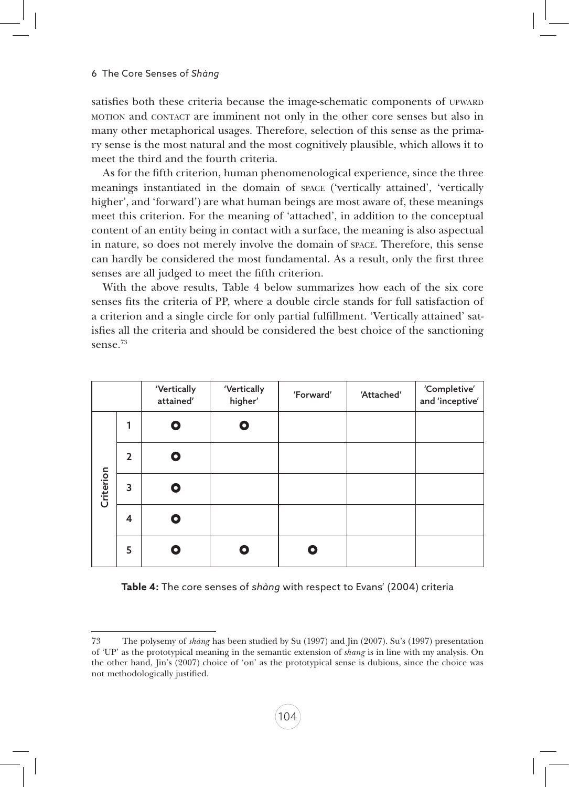satisfies both these criteria because the image-schematic components of UPWARD motion and contact are imminent not only in the other core senses but also in many other metaphorical usages. Therefore, selection of this sense as the primary sense is the most natural and the most cognitively plausible, which allows it to meet the third and the fourth criteria.

As for the fifth criterion, human phenomenological experience, since the three meanings instantiated in the domain of space ('vertically attained', 'vertically higher', and 'forward') are what human beings are most aware of, these meanings meet this criterion. For the meaning of 'attached', in addition to the conceptual content of an entity being in contact with a surface, the meaning is also aspectual in nature, so does not merely involve the domain of space. Therefore, this sense can hardly be considered the most fundamental. As a result, only the first three senses are all judged to meet the fifth criterion.

With the above results, Table 4 below summarizes how each of the six core senses fits the criteria of PP, where a double circle stands for full satisfaction of a criterion and a single circle for only partial fulfillment. 'Vertically attained' satisfies all the criteria and should be considered the best choice of the sanctioning sense.73

|           |                | 'Vertically<br>attained' | 'Vertically<br>higher' | 'Forward' | 'Attached' | 'Completive'<br>and 'inceptive' |
|-----------|----------------|--------------------------|------------------------|-----------|------------|---------------------------------|
|           | 1              | О                        | О                      |           |            |                                 |
|           | $\overline{2}$ | Ο                        |                        |           |            |                                 |
| Criterion | 3              | Ο                        |                        |           |            |                                 |
|           | $\overline{4}$ | О                        |                        |           |            |                                 |
|           | 5              | o                        |                        | О         |            |                                 |

|  | Table 4: The core senses of shàng with respect to Evans' (2004) criteria |  |
|--|--------------------------------------------------------------------------|--|
|  |                                                                          |  |

<sup>73</sup> The polysemy of *shàng* has been studied by Su (1997) and Jin (2007). Su's (1997) presentation of 'UP' as the prototypical meaning in the semantic extension of *shang* is in line with my analysis. On the other hand, Jin's (2007) choice of 'on' as the prototypical sense is dubious, since the choice was not methodologically justified.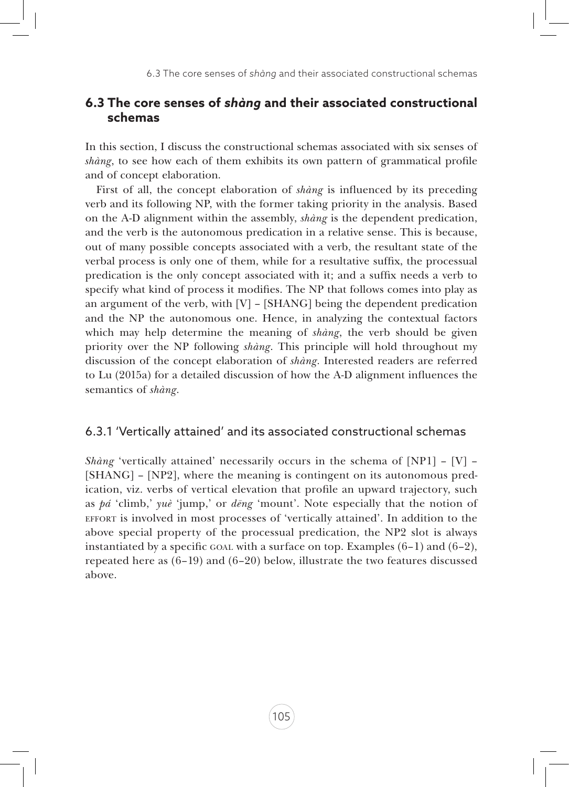## **6.3 The core senses of** *shàng* **and their associated constructional schemas**

In this section, I discuss the constructional schemas associated with six senses of *shàng*, to see how each of them exhibits its own pattern of grammatical profile and of concept elaboration.

First of all, the concept elaboration of *shàng* is influenced by its preceding verb and its following NP, with the former taking priority in the analysis. Based on the A-D alignment within the assembly, *shàng* is the dependent predication, and the verb is the autonomous predication in a relative sense. This is because, out of many possible concepts associated with a verb, the resultant state of the verbal process is only one of them, while for a resultative suffix, the processual predication is the only concept associated with it; and a suffix needs a verb to specify what kind of process it modifies. The NP that follows comes into play as an argument of the verb, with  $[V]$  – [SHANG] being the dependent predication and the NP the autonomous one. Hence, in analyzing the contextual factors which may help determine the meaning of *shàng*, the verb should be given priority over the NP following *shàng*. This principle will hold throughout my discussion of the concept elaboration of *shàng*. Interested readers are referred to Lu (2015a) for a detailed discussion of how the A-D alignment influences the semantics of *shàng*.

#### 6.3.1 'Vertically attained' and its associated constructional schemas

*Shàng* 'vertically attained' necessarily occurs in the schema of [NP1] – [V] – [SHANG] – [NP2], where the meaning is contingent on its autonomous predication, viz. verbs of vertical elevation that profile an upward trajectory, such as *pá* 'climb,' *yuè* 'jump,' or *dēng* 'mount'. Note especially that the notion of effort is involved in most processes of 'vertically attained'. In addition to the above special property of the processual predication, the NP2 slot is always instantiated by a specific GOAL with a surface on top. Examples  $(6-1)$  and  $(6-2)$ , repeated here as  $(6-19)$  and  $(6-20)$  below, illustrate the two features discussed above.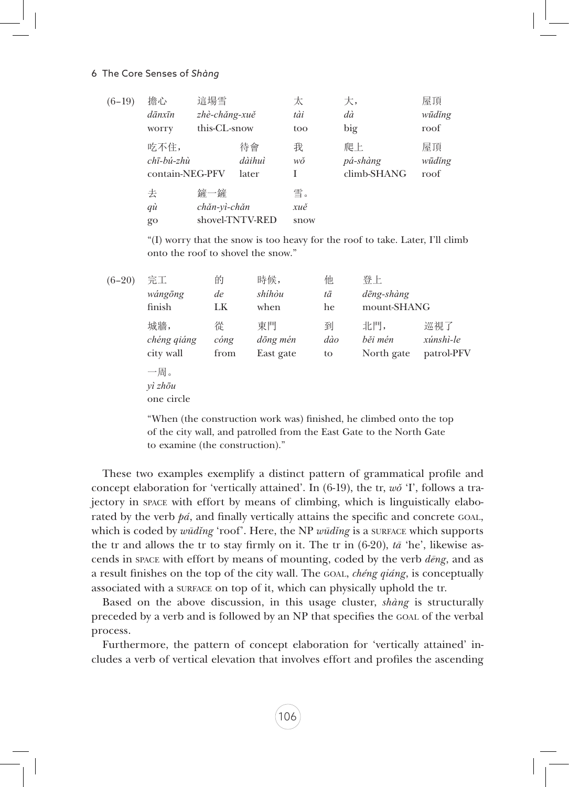#### 6 The Core Senses of *Shàng*

| $(6-19)$ | 擔心              | 這場雪           |                 | 太    | 大,          | 屋頂     |
|----------|-----------------|---------------|-----------------|------|-------------|--------|
|          | dānxīn          | zhè-chăng-xuě |                 | tài  | dà          | wūdĭng |
|          | worry           | this-CL-snow  |                 | too  | big         | roof   |
|          | 吃不住,            |               | 待會              | 我    | 爬上          | 屋頂     |
|          | chī-bú-zhù      |               | dàihuì          | wŏ   | pá-shàng    | wūdĭng |
|          | contain-NEG-PFV |               | later           |      | climb-SHANG | roof   |
|          | 去               | 鏟一鏟           |                 | 雪。   |             |        |
|          | qù              | chăn-yì-chăn  |                 | xuě  |             |        |
|          | go              |               | shovel-TNTV-RED | snow |             |        |
|          |                 |               |                 |      |             |        |

"(I) worry that the snow is too heavy for the roof to take. Later, I'll climb onto the roof to shovel the snow."

| $(6-20)$ | 完工<br>wángōng<br>finish         | 的<br>de<br>LK             | 時候,<br>shíhòu<br>when       | 他<br>tā<br>he  | 登上<br>dēng-shàng<br>mount-SHANG |                                |
|----------|---------------------------------|---------------------------|-----------------------------|----------------|---------------------------------|--------------------------------|
|          | 城牆,<br>chéng qiáng<br>city wall | 從<br>$\dot{cong}$<br>from | 東門<br>dōng mén<br>East gate | 到<br>dào<br>to | 北門,<br>běi mén<br>North gate    | 巡視了<br>xúnshì-le<br>patrol-PFV |
|          | 一周。<br>$v$ ì zhōu<br>one circle |                           |                             |                |                                 |                                |

"When (the construction work was) finished, he climbed onto the top of the city wall, and patrolled from the East Gate to the North Gate to examine (the construction)."

These two examples exemplify a distinct pattern of grammatical profile and concept elaboration for 'vertically attained'. In (6-19), the tr, *wǒ* 'I', follows a trajectory in space with effort by means of climbing, which is linguistically elaborated by the verb *pá*, and finally vertically attains the specific and concrete goal, which is coded by *wūdǐng* 'roof'. Here, the NP *wūdǐng* is a surface which supports the tr and allows the tr to stay firmly on it. The tr in  $(6-20)$ ,  $t\bar{a}$  'he', likewise ascends in space with effort by means of mounting, coded by the verb *dēng*, and as a result finishes on the top of the city wall. The goal, *chéng qiáng*, is conceptually associated with a surface on top of it, which can physically uphold the tr.

Based on the above discussion, in this usage cluster, *shàng* is structurally preceded by a verb and is followed by an NP that specifies the goal of the verbal process.

Furthermore, the pattern of concept elaboration for 'vertically attained' includes a verb of vertical elevation that involves effort and profiles the ascending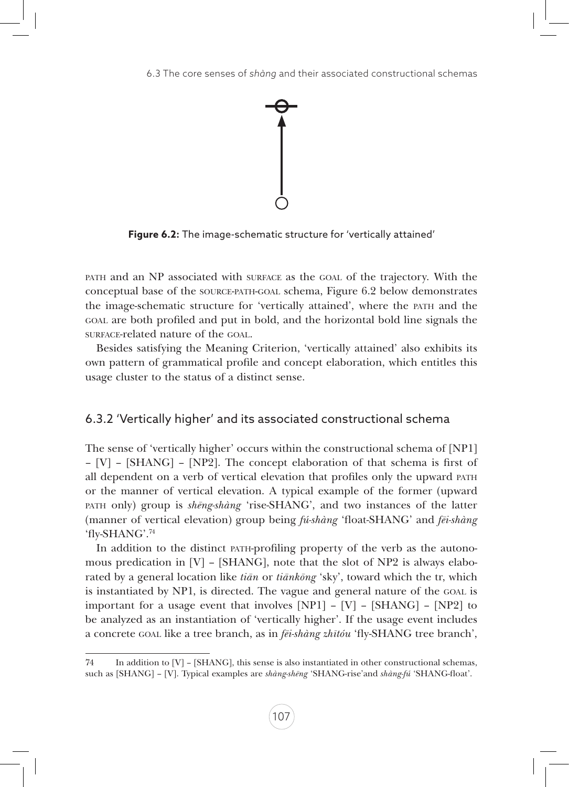

**Figure 6.2:** The image-schematic structure for 'vertically attained'

path and an NP associated with surface as the goal of the trajectory. With the conceptual base of the source-path-goal schema, Figure 6.2 below demonstrates the image-schematic structure for 'vertically attained', where the path and the goal are both profiled and put in bold, and the horizontal bold line signals the surface-related nature of the GOAL.

Besides satisfying the Meaning Criterion, 'vertically attained' also exhibits its own pattern of grammatical profile and concept elaboration, which entitles this usage cluster to the status of a distinct sense.

## 6.3.2 'Vertically higher' and its associated constructional schema

The sense of 'vertically higher' occurs within the constructional schema of [NP1] – [V] – [SHANG] – [NP2]. The concept elaboration of that schema is first of all dependent on a verb of vertical elevation that profiles only the upward path or the manner of vertical elevation. A typical example of the former (upward path only) group is *shēng-shàng* 'rise-SHANG', and two instances of the latter (manner of vertical elevation) group being *fú-shàng* 'float-SHANG' and *fēi-shàng* 'fly-SHANG'.74

In addition to the distinct path-profiling property of the verb as the autonomous predication in  $[V]$  – [SHANG], note that the slot of NP2 is always elaborated by a general location like *tiān* or *tiānkōng* 'sky', toward which the tr, which is instantiated by NP1, is directed. The vague and general nature of the GOAL is important for a usage event that involves  $[NPI] - [V] - [SHANG] - [NP2]$  to be analyzed as an instantiation of 'vertically higher'. If the usage event includes a concrete goal like a tree branch, as in *fēi-shàng zhītóu* 'fly-SHANG tree branch',

<sup>74</sup> In addition to [V] – [SHANG], this sense is also instantiated in other constructional schemas, such as [SHANG] – [V]. Typical examples are *shàng-shēng* 'SHANG-rise'and *shàng-fú* 'SHANG-float'.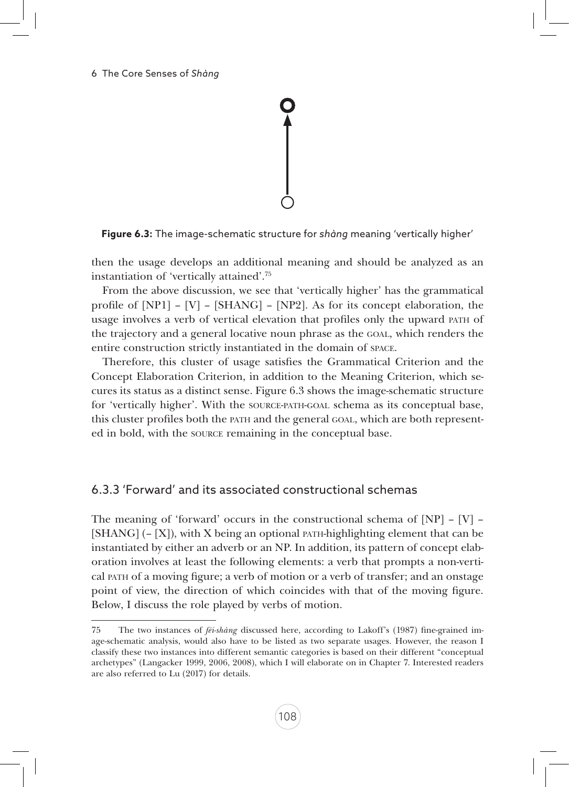**Figure 6.3:** The image-schematic structure for *shàng* meaning 'vertically higher'

then the usage develops an additional meaning and should be analyzed as an instantiation of 'vertically attained'.75

From the above discussion, we see that 'vertically higher' has the grammatical profile of  $[NP1] - [V] - [SHANG] - [NP2]$ . As for its concept elaboration, the usage involves a verb of vertical elevation that profiles only the upward path of the trajectory and a general locative noun phrase as the goal, which renders the entire construction strictly instantiated in the domain of space.

Therefore, this cluster of usage satisfies the Grammatical Criterion and the Concept Elaboration Criterion, in addition to the Meaning Criterion, which secures its status as a distinct sense. Figure 6.3 shows the image-schematic structure for 'vertically higher'. With the source-path-goal schema as its conceptual base, this cluster profiles both the path and the general goal, which are both represented in bold, with the source remaining in the conceptual base.

# 6.3.3 'Forward' and its associated constructional schemas

The meaning of 'forward' occurs in the constructional schema of  $[NP] - [V]$  $[SHANG]$  (–  $[X]$ ), with X being an optional path-highlighting element that can be instantiated by either an adverb or an NP. In addition, its pattern of concept elaboration involves at least the following elements: a verb that prompts a non-vertical path of a moving figure; a verb of motion or a verb of transfer; and an onstage point of view, the direction of which coincides with that of the moving figure. Below, I discuss the role played by verbs of motion.

<sup>75</sup> The two instances of *fēi-shàng* discussed here, according to Lakoff's (1987) fine-grained image-schematic analysis, would also have to be listed as two separate usages. However, the reason I classify these two instances into different semantic categories is based on their different "conceptual archetypes" (Langacker 1999, 2006, 2008), which I will elaborate on in Chapter 7. Interested readers are also referred to Lu (2017) for details.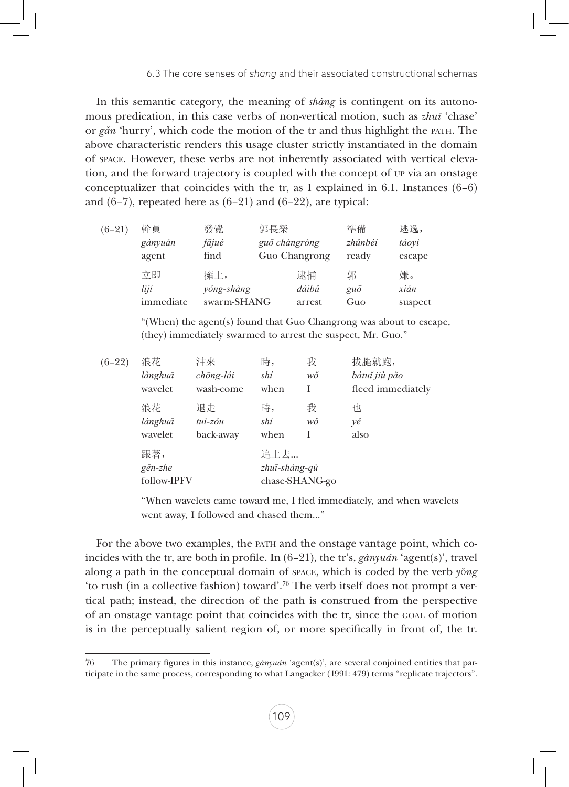In this semantic category, the meaning of *shàng* is contingent on its autonomous predication, in this case verbs of non-vertical motion, such as *zhuī* 'chase' or *gǎn* 'hurry', which code the motion of the tr and thus highlight the path. The above characteristic renders this usage cluster strictly instantiated in the domain of space. However, these verbs are not inherently associated with vertical elevation, and the forward trajectory is coupled with the concept of up via an onstage conceptualizer that coincides with the tr, as I explained in 6.1. Instances  $(6-6)$ and  $(6-7)$ , repeated here as  $(6-21)$  and  $(6-22)$ , are typical:

| $(6-21)$ | 幹員        | 發覺          | 郭長榮           | 準備          | 逃逸,     |
|----------|-----------|-------------|---------------|-------------|---------|
|          | gànyuán   | fājué       | guō chángróng | zhŭnbèi     | táoyì   |
|          | agent     | find        | Guo Changrong | ready       | escape  |
|          | 立即        | 擁上,         | 逮捕            | 郭           | 嫌。      |
|          | lìjí      | yŏng-shàng  | dàibǔ         | $gu\bar{o}$ | xián    |
|          | immediate | swarm-SHANG | arrest        | Guo         | suspect |
|          |           |             |               |             |         |

"(When) the agent(s) found that Guo Changrong was about to escape, (they) immediately swarmed to arrest the suspect, Mr. Guo."

| $(6-22)$ | 浪花                                     | 沖來        | 時,                    | 我              | 拔腿就跑,             |
|----------|----------------------------------------|-----------|-----------------------|----------------|-------------------|
|          | lànghuā                                | chōng-lái | shí                   | wŏ             | bátuĭ jiù păo     |
|          | wavelet                                | wash-come | when                  | I              | fleed immediately |
|          | 浪花                                     | 退走        | 時,                    | 我              | 怛                 |
|          | lànghuā                                | tuì-zŏu   | shí                   | wŏ             | γě                |
|          | wavelet                                | back-away | when                  | I              | also              |
|          | 跟著,<br>$g\bar{e}n$ -zhe<br>follow-IPFV |           | 追上去…<br>zhuī-shàng-qù | chase-SHANG-go |                   |

"When wavelets came toward me, I fled immediately, and when wavelets went away, I followed and chased them…"

For the above two examples, the path and the onstage vantage point, which coincides with the tr, are both in profile. In (6–21), the tr's, *gànyuán* 'agent(s)', travel along a path in the conceptual domain of space, which is coded by the verb *y*ǒ*ng* 'to rush (in a collective fashion) toward'.76 The verb itself does not prompt a vertical path; instead, the direction of the path is construed from the perspective of an onstage vantage point that coincides with the tr, since the goal of motion is in the perceptually salient region of, or more specifically in front of, the tr.

<sup>76</sup> The primary figures in this instance, *gànyuán* 'agent(s)', are several conjoined entities that participate in the same process, corresponding to what Langacker (1991: 479) terms "replicate trajectors".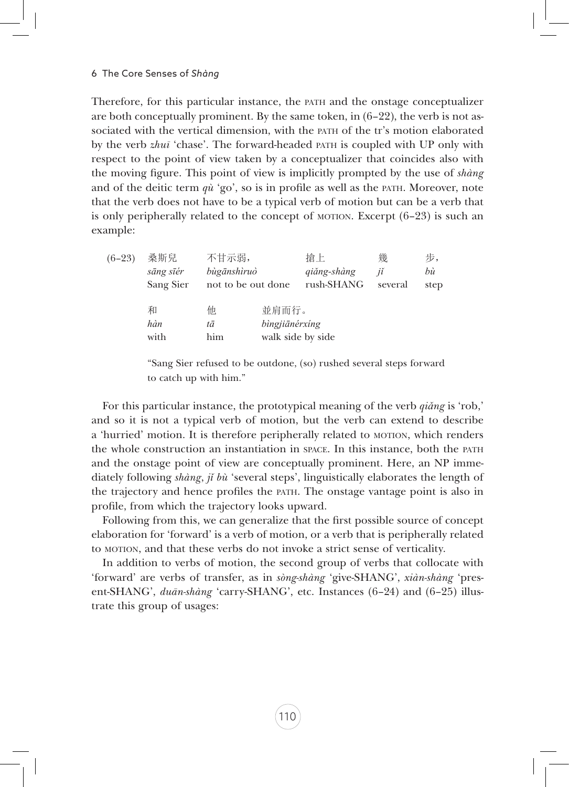Therefore, for this particular instance, the path and the onstage conceptualizer are both conceptually prominent. By the same token, in  $(6-22)$ , the verb is not associated with the vertical dimension, with the path of the tr's motion elaborated by the verb *zhuī* 'chase'. The forward-headed path is coupled with UP only with respect to the point of view taken by a conceptualizer that coincides also with the moving figure. This point of view is implicitly prompted by the use of *shàng* and of the deitic term  $q\dot{u}$  'go', so is in profile as well as the PATH. Moreover, note that the verb does not have to be a typical verb of motion but can be a verb that is only peripherally related to the concept of motion. Excerpt  $(6-23)$  is such an example:

| $(6-23)$ | 桑斯兒                    | 不甘示弱,                             |                         | 搶上                        | 幾             | 步,         |
|----------|------------------------|-----------------------------------|-------------------------|---------------------------|---------------|------------|
|          | sāng sīér<br>Sang Sier | bùgānshìruò<br>not to be out done |                         | qiǎng-shàng<br>rush-SHANG | jĭ<br>several | bù<br>step |
|          | 和<br>hàn<br>with       | 他<br>tā<br>him                    | 並肩而行。<br>bìngjiānérxíng | walk side by side         |               |            |

"Sang Sier refused to be outdone, (so) rushed several steps forward to catch up with him."

For this particular instance, the prototypical meaning of the verb *qiǎng* is 'rob,' and so it is not a typical verb of motion, but the verb can extend to describe a 'hurried' motion. It is therefore peripherally related to motion, which renders the whole construction an instantiation in space. In this instance, both the path and the onstage point of view are conceptually prominent. Here, an NP immediately following *shàng*, *ji bù* 'several steps', linguistically elaborates the length of the trajectory and hence profiles the path. The onstage vantage point is also in profile, from which the trajectory looks upward.

Following from this, we can generalize that the first possible source of concept elaboration for 'forward' is a verb of motion, or a verb that is peripherally related to motion, and that these verbs do not invoke a strict sense of verticality.

In addition to verbs of motion, the second group of verbs that collocate with 'forward' are verbs of transfer, as in *sòng-shàng* 'give-SHANG', *xiàn-shàng* 'present-SHANG', *duān-shàng* 'carry-SHANG', etc. Instances (6–24) and (6–25) illustrate this group of usages: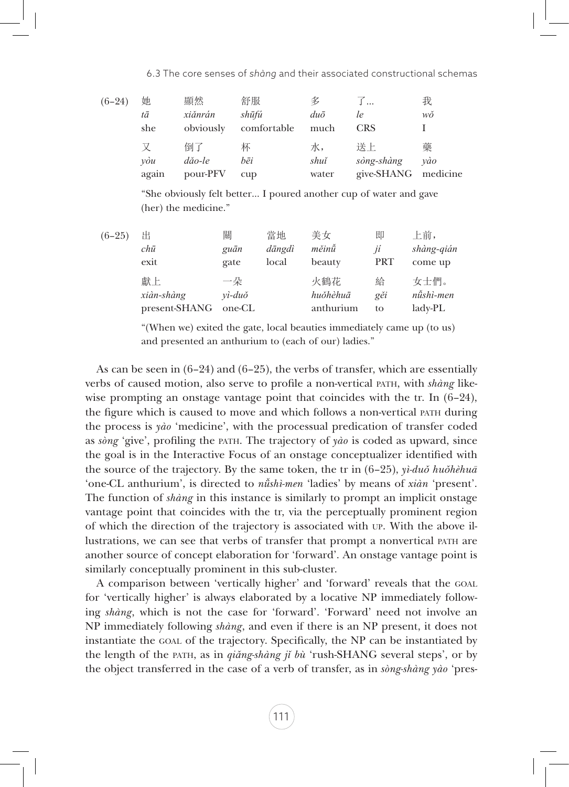| $(6-24)$ | 她<br>tā<br>she | 顯然<br>xiănrán<br>obviously | 舒服<br>shūfú<br>comfortable | 多<br>$du\bar{o}$<br>much | ∫…<br>le<br><b>CRS</b>         | 我<br>wŏ              |
|----------|----------------|----------------------------|----------------------------|--------------------------|--------------------------------|----------------------|
|          | vòu<br>again   | 倒了<br>dăo-le<br>pour-PFV   | 杯<br>bēi<br>$\sup$         | 水,<br>shuĭ<br>water      | 送上<br>sòng-shàng<br>give-SHANG | 藥<br>vào<br>medicine |

"She obviously felt better… I poured another cup of water and gave (her) the medicine."

| $(6-25)$ | 出             | 關                 | 當地     | 美女        | 即          | 上前,        |
|----------|---------------|-------------------|--------|-----------|------------|------------|
|          | chū           | guān              | dāngdì | měinů     | jí         | shàng-qián |
|          | exit          | gate              | local  | beauty    | <b>PRT</b> | come up    |
|          | 獻上            | 一朵                |        | 火鶴花       | 給          | 女士們。       |
|          | xiàn-shàng    | $vi$ -du $\delta$ |        | huŏhèhuā  | gěi        | nűshì-men  |
|          | present-SHANG | one-CL            |        | anthurium | to         | ladv-PL    |
|          |               |                   |        |           |            |            |

"(When we) exited the gate, local beauties immediately came up (to us) and presented an anthurium to (each of our) ladies."

As can be seen in  $(6-24)$  and  $(6-25)$ , the verbs of transfer, which are essentially verbs of caused motion, also serve to profile a non-vertical path, with *shàng* likewise prompting an onstage vantage point that coincides with the tr. In  $(6-24)$ , the figure which is caused to move and which follows a non-vertical path during the process is *yào* 'medicine', with the processual predication of transfer coded as *sòng* 'give', profiling the path. The trajectory of *yào* is coded as upward, since the goal is in the Interactive Focus of an onstage conceptualizer identified with the source of the trajectory. By the same token, the tr in (6–25), *yì-duǒ huǒhèhuā*  'one-CL anthurium', is directed to *nǚshì-men* 'ladies' by means of *xiàn* 'present'. The function of *shàng* in this instance is similarly to prompt an implicit onstage vantage point that coincides with the tr, via the perceptually prominent region of which the direction of the trajectory is associated with up. With the above illustrations, we can see that verbs of transfer that prompt a nonvertical path are another source of concept elaboration for 'forward'. An onstage vantage point is similarly conceptually prominent in this sub-cluster.

A comparison between 'vertically higher' and 'forward' reveals that the goal for 'vertically higher' is always elaborated by a locative NP immediately following *shàng*, which is not the case for 'forward'. 'Forward' need not involve an NP immediately following *shàng*, and even if there is an NP present, it does not instantiate the goal of the trajectory. Specifically, the NP can be instantiated by the length of the path, as in *qiǎng-shàng jǐ bù* 'rush-SHANG several steps', or by the object transferred in the case of a verb of transfer, as in *sòng-shàng yào* 'pres-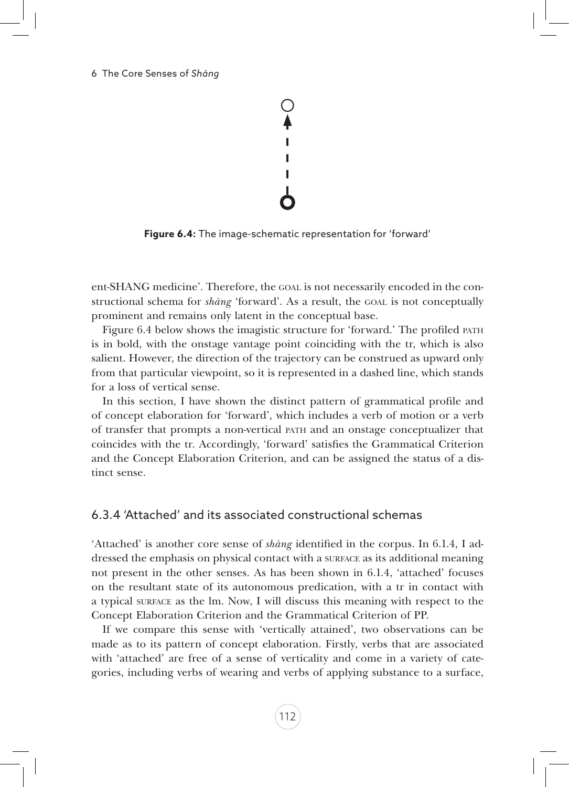#### 6 The Core Senses of *Shàng*



**Figure 6.4:** The image-schematic representation for 'forward'

ent-SHANG medicine'. Therefore, the goal is not necessarily encoded in the constructional schema for *shàng* 'forward'. As a result, the GOAL is not conceptually prominent and remains only latent in the conceptual base.

Figure 6.4 below shows the imagistic structure for 'forward.' The profiled path is in bold, with the onstage vantage point coinciding with the tr, which is also salient. However, the direction of the trajectory can be construed as upward only from that particular viewpoint, so it is represented in a dashed line, which stands for a loss of vertical sense.

In this section, I have shown the distinct pattern of grammatical profile and of concept elaboration for 'forward', which includes a verb of motion or a verb of transfer that prompts a non-vertical path and an onstage conceptualizer that coincides with the tr. Accordingly, 'forward' satisfies the Grammatical Criterion and the Concept Elaboration Criterion, and can be assigned the status of a distinct sense.

#### 6.3.4 'Attached' and its associated constructional schemas

'Attached' is another core sense of *shàng* identified in the corpus. In 6.1.4, I addressed the emphasis on physical contact with a surface as its additional meaning not present in the other senses. As has been shown in 6.1.4, 'attached' focuses on the resultant state of its autonomous predication, with a tr in contact with a typical surface as the lm. Now, I will discuss this meaning with respect to the Concept Elaboration Criterion and the Grammatical Criterion of PP.

If we compare this sense with 'vertically attained', two observations can be made as to its pattern of concept elaboration. Firstly, verbs that are associated with 'attached' are free of a sense of verticality and come in a variety of categories, including verbs of wearing and verbs of applying substance to a surface,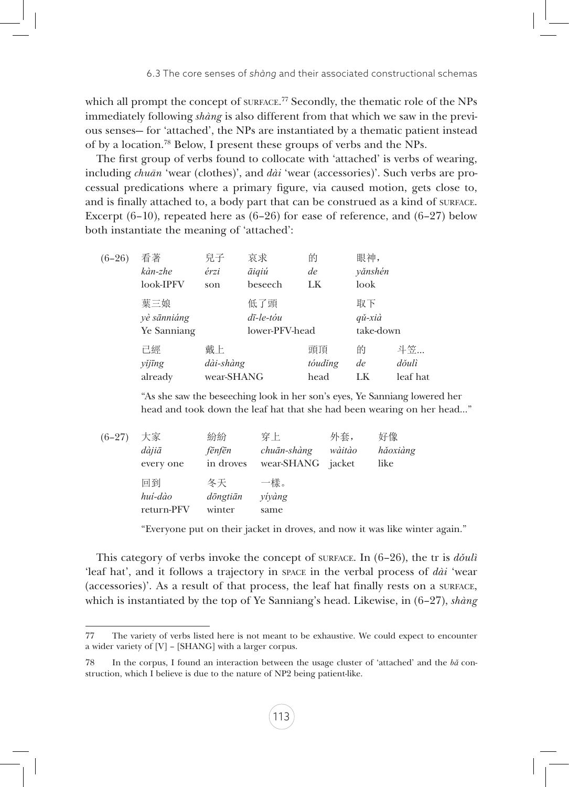which all prompt the concept of surface.<sup>77</sup> Secondly, the thematic role of the NPs immediately following *shàng* is also different from that which we saw in the previous senses— for 'attached', the NPs are instantiated by a thematic patient instead of by a location.78 Below, I present these groups of verbs and the NPs.

The first group of verbs found to collocate with 'attached' is verbs of wearing, including *chuān* 'wear (clothes)', and *dài* 'wear (accessories)'. Such verbs are processual predications where a primary figure, via caused motion, gets close to, and is finally attached to, a body part that can be construed as a kind of surface. Excerpt  $(6-10)$ , repeated here as  $(6-26)$  for ease of reference, and  $(6-27)$  below both instantiate the meaning of 'attached':

| $(6-26)$ | 看著<br>kàn-zhe<br>look-IPFV        | 兒子<br>érzi<br>son             | 哀求<br>āiqiú<br>beseech                          | 的<br>de<br>LK         | 眼神,<br>yănshén<br>look               |                         |
|----------|-----------------------------------|-------------------------------|-------------------------------------------------|-----------------------|--------------------------------------|-------------------------|
|          | 葉三娘<br>yè sānniáng<br>Ye Sanniang |                               | 低了頭<br>$d\bar{\iota}$ -le-tóu<br>lower-PFV-head |                       | 取下<br>$q\check{u}$ -xià<br>take-down |                         |
|          | 已經<br>yĭjīng<br>already           | 戴上<br>dài-shàng<br>wear-SHANG |                                                 | 頭頂<br>tóudĭng<br>head | 的<br>de<br>LK                        | 斗笠<br>dŏulì<br>leaf hat |

"As she saw the beseeching look in her son's eyes, Ye Sanniang lowered her head and took down the leaf hat that she had been wearing on her head…"

| $(6-27)$ | 大家         | 紛紛        | 穿上          | 外套,    | 好像       |
|----------|------------|-----------|-------------|--------|----------|
|          | dàjiā      | fēnfēn    | chuān-shàng | wàitào | hăoxiàng |
|          | every one  | in droves | wear-SHANG  | jacket | like     |
|          | 同到         | 冬天        | 一樣。         |        |          |
|          | huí-dào    | döngtiān  | vívàng      |        |          |
|          | return-PFV | winter    | same        |        |          |

"Everyone put on their jacket in droves, and now it was like winter again."

This category of verbs invoke the concept of surface. In (6–26), the tr is *dǒulì* 'leaf hat', and it follows a trajectory in space in the verbal process of *dài* 'wear (accessories)'. As a result of that process, the leaf hat finally rests on a surface, which is instantiated by the top of Ye Sanniang's head. Likewise, in (6–27), *shàng*

<sup>77</sup> The variety of verbs listed here is not meant to be exhaustive. We could expect to encounter a wider variety of [V] – [SHANG] with a larger corpus.

<sup>78</sup> In the corpus, I found an interaction between the usage cluster of 'attached' and the *bǎ* construction, which I believe is due to the nature of NP2 being patient-like.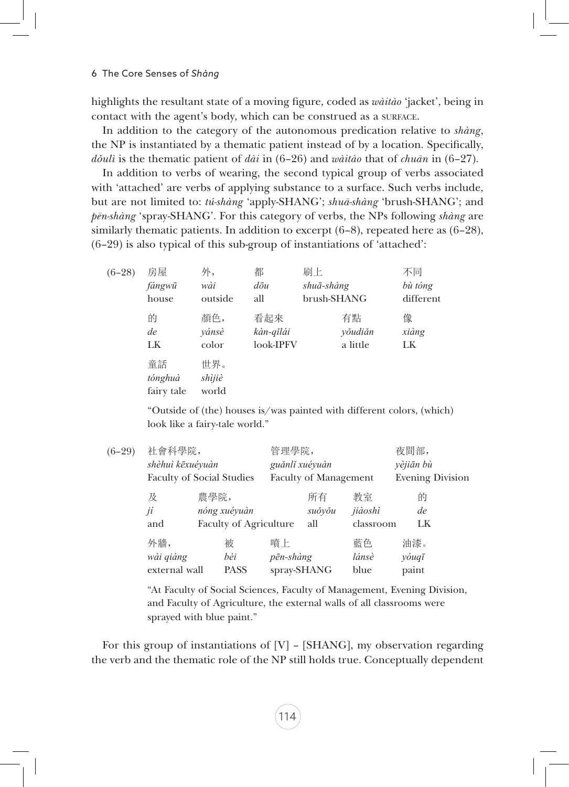highlights the resultant state of a moving figure, coded as *wàitào* 'jacket', being in contact with the agent's body, which can be construed as a SURFACE.

In addition to the category of the autonomous predication relative to *shàng*, the NP is instantiated by a thematic patient instead of by a location. Specifically, *dǒulì* is the thematic patient of *dài* in (6–26) and *wàitào* that of *chuān* in (6–27).

In addition to verbs of wearing, the second typical group of verbs associated with 'attached' are verbs of applying substance to a surface. Such verbs include, but are not limited to: *tú-shàng* 'apply-SHANG'; *shuā-shàng* 'brush-SHANG'; and *pēn-shàng* 'spray-SHANG'. For this category of verbs, the NPs following *shàng* are similarly thematic patients. In addition to excerpt  $(6-8)$ , repeated here as  $(6-28)$ , (6–29) is also typical of this sub-group of instantiations of 'attached':

| $(6-28)$ | 房屋                          | 外,                     | 都         | 刷上          | 不同        |
|----------|-----------------------------|------------------------|-----------|-------------|-----------|
|          | fángwū                      | wài                    | dōu       | shuā-shàng  | bù tóng   |
|          | house                       | outside                | all       | brush-SHANG | different |
|          | 的                           | 顏色,                    | 看起來       | 有點          | 像         |
|          | de                          | yánsè                  | kàn-qĭlái | yŏudiăn     | xiàng     |
|          | LK                          | color                  | look-IPFV | a little    | LK        |
|          | 童話<br>tónghuà<br>fairy tale | 世界。<br>shìjiè<br>world |           |             |           |

"Outside of (the) houses is/was painted with different colors, (which) look like a fairy-tale world."

| $(6-29)$ | 社會科學院,                           |      | 管理學院,                         |                              |         | 夜間部,                    |           |
|----------|----------------------------------|------|-------------------------------|------------------------------|---------|-------------------------|-----------|
|          | shèhuì kēxuéyuàn                 |      |                               | guănli xuéyuàn               |         |                         | vèjiān bù |
|          | <b>Faculty of Social Studies</b> |      |                               | <b>Faculty of Management</b> |         | <b>Evening Division</b> |           |
|          | 及                                | 農學院, |                               |                              | 所有      | 教室                      | 的         |
|          | nóng xuéyuàn<br>jí               |      |                               | suŏyŏu                       | jiàoshì | de                      |           |
|          | and                              |      | <b>Faculty of Agriculture</b> | all                          |         | classroom               | LK.       |
|          | 外牆,                              |      | 被                             | 暗上                           |         | 藍色                      | 油漆。       |
|          | wài qiáng                        |      | bèi                           | pēn-shàng                    |         | lánsè                   | yóuqī     |
|          | external wall                    |      | <b>PASS</b>                   | spray-SHANG                  |         | blue                    | paint     |

"At Faculty of Social Sciences, Faculty of Management, Evening Division, and Faculty of Agriculture, the external walls of all classrooms were sprayed with blue paint."

For this group of instantiations of [V] – [SHANG], my observation regarding the verb and the thematic role of the NP still holds true. Conceptually dependent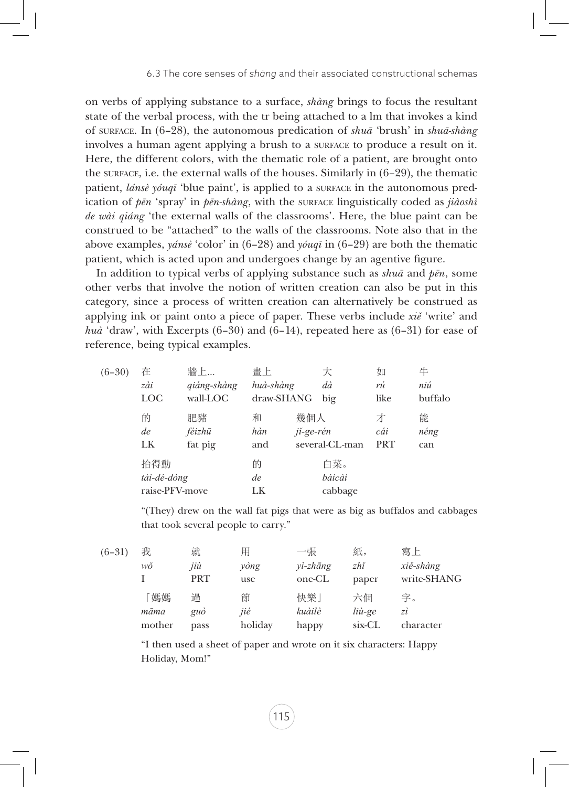on verbs of applying substance to a surface, *shàng* brings to focus the resultant state of the verbal process, with the tr being attached to a lm that invokes a kind of surface. In (6–28), the autonomous predication of *shuā* 'brush' in *shuā-shàng*  involves a human agent applying a brush to a surface to produce a result on it. Here, the different colors, with the thematic role of a patient, are brought onto the surface, i.e. the external walls of the houses. Similarly in  $(6-29)$ , the thematic patient, *lánsè yóuqī* 'blue paint', is applied to a surface in the autonomous predication of  $p\bar{e}n$  'spray' in  $p\bar{e}n$ -shàng, with the surface linguistically coded as *jiàoshì de wài qiáng* 'the external walls of the classrooms'. Here, the blue paint can be construed to be "attached" to the walls of the classrooms. Note also that in the above examples, *yánsè* 'color' in (6–28) and *yóuqī* in (6–29) are both the thematic patient, which is acted upon and undergoes change by an agentive figure.

In addition to typical verbs of applying substance such as *shuā* and *pēn*, some other verbs that involve the notion of written creation can also be put in this category, since a process of written creation can alternatively be construed as applying ink or paint onto a piece of paper. These verbs include *xiě* 'write' and *huà* 'draw', with Excerpts (6–30) and (6–14), repeated here as (6–31) for ease of reference, being typical examples.

| $(6-30)$ | 在                                    | 牆上          | 畫上            | 大                        | 如          | 牛       |
|----------|--------------------------------------|-------------|---------------|--------------------------|------------|---------|
|          | zài                                  | qiáng-shàng | huà-shàng     | dà                       | rú         | niú     |
|          | LOC                                  | wall-LOC    | draw-SHANG    | big                      | like       | buffalo |
|          | 的                                    | 肥豬          | 和             | 幾個人                      | 才          | 能       |
|          | de                                   | féizhū      | hàn           | jí-ge-rén                | cái        | néng    |
|          | LK                                   | fat pig     | and           | several-CL-man           | <b>PRT</b> | can     |
|          | 抬得動<br>tái-dé-dòng<br>raise-PFV-move |             | 的<br>de<br>LK | 白菜。<br>báicài<br>cabbage |            |         |

"(They) drew on the wall fat pigs that were as big as buffalos and cabbages that took several people to carry."

| $(6-31)$ | 我                     | 就                 | 用                   | 一張                                   | 紙,                     | 寫上                       |
|----------|-----------------------|-------------------|---------------------|--------------------------------------|------------------------|--------------------------|
|          | wŏ                    | jiù<br><b>PRT</b> | yòng<br>use         | $v\rightarrow zh\bar{a}ng$<br>one-CL | zhĭ<br>paper           | xiě-shàng<br>write-SHANG |
|          | 「媽媽<br>māma<br>mother | 過<br>guò<br>pass  | 節<br>jié<br>holiday | 快樂」<br>kuàilè<br>happy               | 六個<br>liù-ge<br>six-CL | 字。<br>zì<br>character    |

"I then used a sheet of paper and wrote on it six characters: Happy Holiday, Mom!"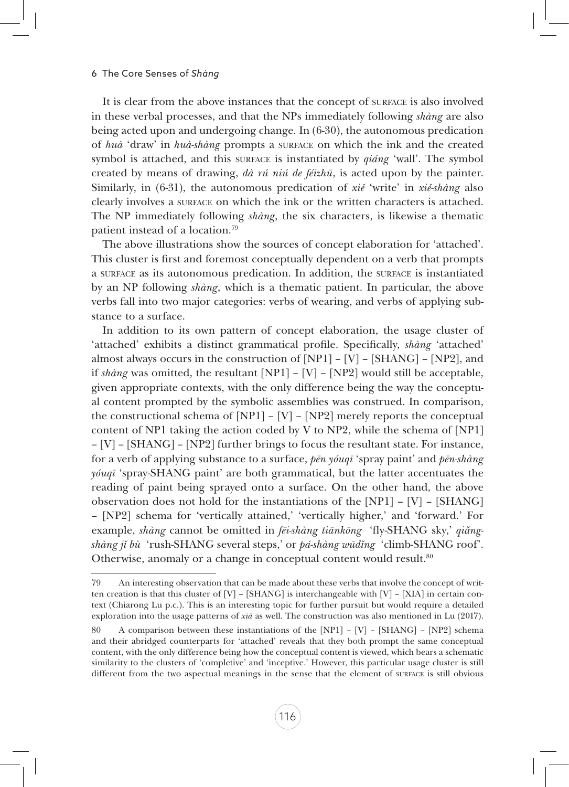It is clear from the above instances that the concept of surface is also involved in these verbal processes, and that the NPs immediately following *shàng* are also being acted upon and undergoing change. In (6-30), the autonomous predication of *huà* 'draw' in *huà-shàng* prompts a surface on which the ink and the created symbol is attached, and this surface is instantiated by *qiáng* 'wall'. The symbol created by means of drawing, *dà rú niú de féizhū*, is acted upon by the painter. Similarly, in (6-31), the autonomous predication of *xiě* 'write' in *xiě-shàng* also clearly involves a surface on which the ink or the written characters is attached. The NP immediately following *shàng*, the six characters, is likewise a thematic patient instead of a location.79

The above illustrations show the sources of concept elaboration for 'attached'. This cluster is first and foremost conceptually dependent on a verb that prompts a surface as its autonomous predication. In addition, the surface is instantiated by an NP following *shàng*, which is a thematic patient. In particular, the above verbs fall into two major categories: verbs of wearing, and verbs of applying substance to a surface.

In addition to its own pattern of concept elaboration, the usage cluster of 'attached' exhibits a distinct grammatical profile. Specifically, *shàng* 'attached' almost always occurs in the construction of  $[NP1] - [V] - [SHANG] - [NP2]$ , and if *shàng* was omitted, the resultant [NP1] – [V] – [NP2] would still be acceptable, given appropriate contexts, with the only difference being the way the conceptual content prompted by the symbolic assemblies was construed. In comparison, the constructional schema of  $[NP1] - [V] - [NP2]$  merely reports the conceptual content of NP1 taking the action coded by V to NP2, while the schema of [NP1] – [V] – [SHANG] – [NP2] further brings to focus the resultant state. For instance, for a verb of applying substance to a surface, *pēn yóuqī* 'spray paint' and *pēn-shàng yóuqī* 'spray-SHANG paint' are both grammatical, but the latter accentuates the reading of paint being sprayed onto a surface. On the other hand, the above observation does not hold for the instantiations of the  $[NP1] - [V] - [SHANG]$ – [NP2] schema for 'vertically attained,' 'vertically higher,' and 'forward.' For example, *shàng* cannot be omitted in *fēi-shàng tiānkōng* 'fly-SHANG sky,' *qiǎngshàng jǐ bù* 'rush-SHANG several steps,' or *pá-shàng wūdǐng* 'climb-SHANG roof'. Otherwise, anomaly or a change in conceptual content would result.<sup>80</sup>

<sup>79</sup> An interesting observation that can be made about these verbs that involve the concept of written creation is that this cluster of [V] – [SHANG] is interchangeable with [V] – [XIA] in certain context (Chiarong Lu p.c.). This is an interesting topic for further pursuit but would require a detailed exploration into the usage patterns of *xià* as well. The construction was also mentioned in Lu (2017).

<sup>80</sup> A comparison between these instantiations of the [NP1] – [V] – [SHANG] – [NP2] schema and their abridged counterparts for 'attached' reveals that they both prompt the same conceptual content, with the only difference being how the conceptual content is viewed, which bears a schematic similarity to the clusters of 'completive' and 'inceptive.' However, this particular usage cluster is still different from the two aspectual meanings in the sense that the element of surface is still obvious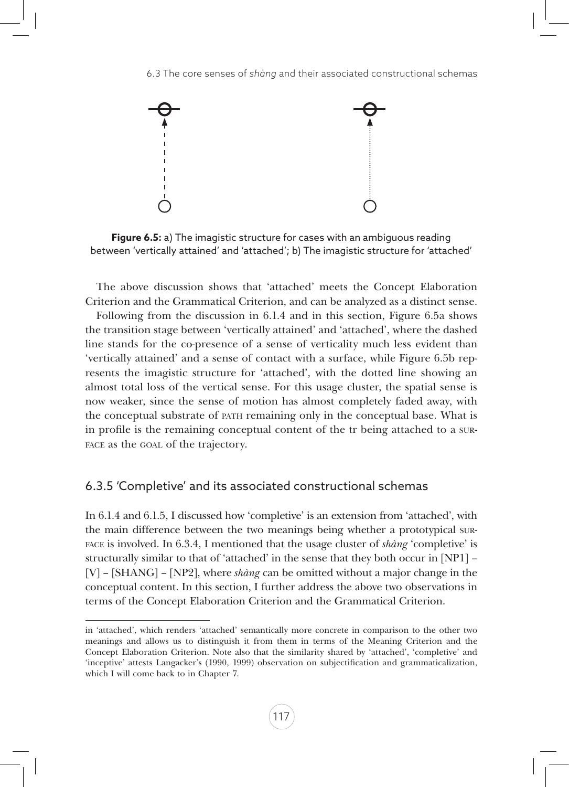

**Figure 6.5:** a) The imagistic structure for cases with an ambiguous reading between 'vertically attained' and 'attached'; b) The imagistic structure for 'attached'

The above discussion shows that 'attached' meets the Concept Elaboration Criterion and the Grammatical Criterion, and can be analyzed as a distinct sense.

Following from the discussion in 6.1.4 and in this section, Figure 6.5a shows the transition stage between 'vertically attained' and 'attached', where the dashed line stands for the co-presence of a sense of verticality much less evident than 'vertically attained' and a sense of contact with a surface, while Figure 6.5b represents the imagistic structure for 'attached', with the dotted line showing an almost total loss of the vertical sense. For this usage cluster, the spatial sense is now weaker, since the sense of motion has almost completely faded away, with the conceptual substrate of path remaining only in the conceptual base. What is in profile is the remaining conceptual content of the tr being attached to a surface as the goal of the trajectory.

# 6.3.5 'Completive' and its associated constructional schemas

In 6.1.4 and 6.1.5, I discussed how 'completive' is an extension from 'attached', with the main difference between the two meanings being whether a prototypical surface is involved. In 6.3.4, I mentioned that the usage cluster of *shàng* 'completive' is structurally similar to that of 'attached' in the sense that they both occur in [NP1] – [V] – [SHANG] – [NP2], where *shàng* can be omitted without a major change in the conceptual content. In this section, I further address the above two observations in terms of the Concept Elaboration Criterion and the Grammatical Criterion.

in 'attached', which renders 'attached' semantically more concrete in comparison to the other two meanings and allows us to distinguish it from them in terms of the Meaning Criterion and the Concept Elaboration Criterion. Note also that the similarity shared by 'attached', 'completive' and 'inceptive' attests Langacker's (1990, 1999) observation on subjectification and grammaticalization, which I will come back to in Chapter 7.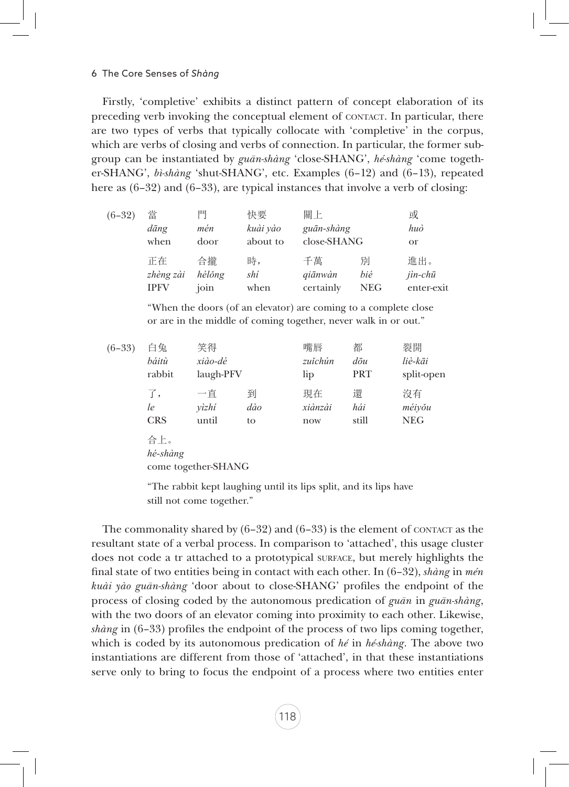#### 6 The Core Senses of *Shàng*

Firstly, 'completive' exhibits a distinct pattern of concept elaboration of its preceding verb invoking the conceptual element of CONTACT. In particular, there are two types of verbs that typically collocate with 'completive' in the corpus, which are verbs of closing and verbs of connection. In particular, the former subgroup can be instantiated by *guān-shàng* 'close-SHANG', *hé-shàng* 'come together-SHANG', *bì-shàng* 'shut-SHANG', etc. Examples (6–12) and (6–13), repeated here as  $(6-32)$  and  $(6-33)$ , are typical instances that involve a verb of closing:

| $(6-32)$ | 當<br>dāng<br>when | 門<br>mén<br>door | 快要<br>kuài yào<br>about to | 關上<br>guān-shàng<br>close-SHANG |            | 或<br>huò<br><sub>or</sub> |
|----------|-------------------|------------------|----------------------------|---------------------------------|------------|---------------------------|
|          | 正在                | 合攏               | 時,                         | 千萬                              | 別          | 進出。                       |
|          | zhèng zài         | hélŏng           | shí                        | qiānwàn                         | bié        | $jin$ - $ch\bar{u}$       |
|          | <b>IPFV</b>       | join             | when                       | certainly                       | <b>NEG</b> | enter-exit                |

"When the doors (of an elevator) are coming to a complete close or are in the middle of coming together, never walk in or out."

| $(6-33)$ | 白兔<br>báitù<br>rabbit  | 笑得<br>xiào-dé<br>laugh-PFV |                | 嘴唇<br>zuĭchún<br>lip | 都<br>$d\bar{\sigma}$ u<br>PRT | 裂開<br>liè-kāi<br>split-open |
|----------|------------------------|----------------------------|----------------|----------------------|-------------------------------|-----------------------------|
|          | 了,<br>le<br><b>CRS</b> | 一直<br>yìzhi<br>until       | 到<br>dào<br>to | 現在<br>xiànzài<br>now | 澴<br>hái<br>still             | 沒有<br>méiyǒu<br><b>NEG</b>  |
|          | 合上。<br>hé-shàng        | come together-SHANG        |                |                      |                               |                             |

"The rabbit kept laughing until its lips split, and its lips have still not come together."

The commonality shared by  $(6-32)$  and  $(6-33)$  is the element of contact as the resultant state of a verbal process. In comparison to 'attached', this usage cluster does not code a tr attached to a prototypical surface, but merely highlights the final state of two entities being in contact with each other. In (6–32), *shàng* in *mén kuài yào guān-shàng* 'door about to close-SHANG' profiles the endpoint of the process of closing coded by the autonomous predication of *guān* in *guān-shàng*, with the two doors of an elevator coming into proximity to each other. Likewise, *shàng* in (6–33) profiles the endpoint of the process of two lips coming together, which is coded by its autonomous predication of *hé* in *hé-shàng*. The above two instantiations are different from those of 'attached', in that these instantiations serve only to bring to focus the endpoint of a process where two entities enter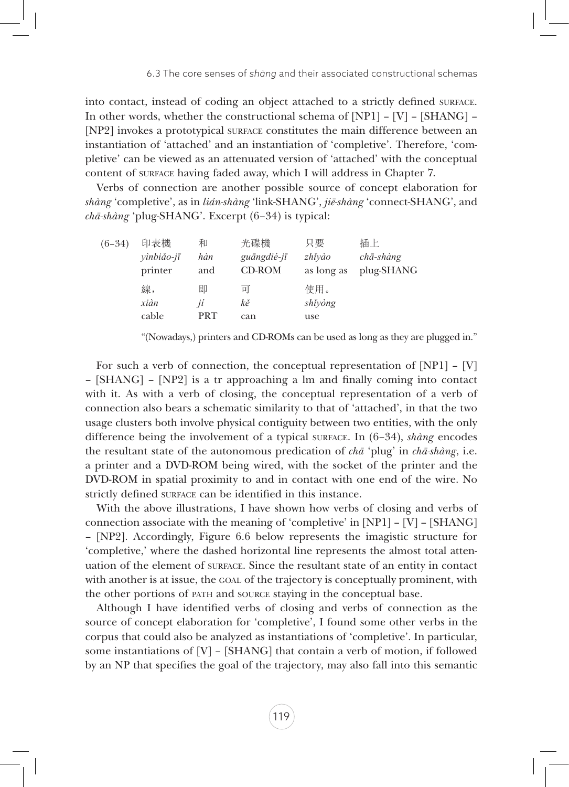into contact, instead of coding an object attached to a strictly defined surface. In other words, whether the constructional schema of [NP1] – [V] – [SHANG] – [NP2] invokes a prototypical surface constitutes the main difference between an instantiation of 'attached' and an instantiation of 'completive'. Therefore, 'completive' can be viewed as an attenuated version of 'attached' with the conceptual content of surface having faded away, which I will address in Chapter 7.

Verbs of connection are another possible source of concept elaboration for *shàng* 'completive', as in *lián-shàng* 'link-SHANG', *jiē-shàng* 'connect-SHANG', and *chā-shàng* 'plug-SHANG'. Excerpt (6–34) is typical:

| $(6-34)$ | 印表機<br>yìnbiǎo-jī | 和<br>hàn   | 光碟機<br>guāngdié-jī | 只要<br>zhĭvào | 插上<br>$ch\bar{a}$ -shàng |
|----------|-------------------|------------|--------------------|--------------|--------------------------|
|          | printer           | and        | CD-ROM             | as long as   | plug-SHANG               |
|          | 線,                | 即          | 피                  | 使用。          |                          |
|          | xiàn              | ií         | kě                 | shiyòng      |                          |
|          | cable             | <b>PRT</b> | can                | use          |                          |

"(Nowadays,) printers and CD-ROMs can be used as long as they are plugged in."

For such a verb of connection, the conceptual representation of [NP1] – [V] – [SHANG] – [NP2] is a tr approaching a lm and finally coming into contact with it. As with a verb of closing, the conceptual representation of a verb of connection also bears a schematic similarity to that of 'attached', in that the two usage clusters both involve physical contiguity between two entities, with the only difference being the involvement of a typical surface. In (6–34), *shàng* encodes the resultant state of the autonomous predication of *chā* 'plug' in *chā-shàng*, i.e. a printer and a DVD-ROM being wired, with the socket of the printer and the DVD-ROM in spatial proximity to and in contact with one end of the wire. No strictly defined surface can be identified in this instance.

With the above illustrations, I have shown how verbs of closing and verbs of connection associate with the meaning of 'completive' in [NP1] – [V] – [SHANG] – [NP2]. Accordingly, Figure 6.6 below represents the imagistic structure for 'completive,' where the dashed horizontal line represents the almost total attenuation of the element of surface. Since the resultant state of an entity in contact with another is at issue, the GOAL of the trajectory is conceptually prominent, with the other portions of path and source staying in the conceptual base.

Although I have identified verbs of closing and verbs of connection as the source of concept elaboration for 'completive', I found some other verbs in the corpus that could also be analyzed as instantiations of 'completive'. In particular, some instantiations of [V] – [SHANG] that contain a verb of motion, if followed by an NP that specifies the goal of the trajectory, may also fall into this semantic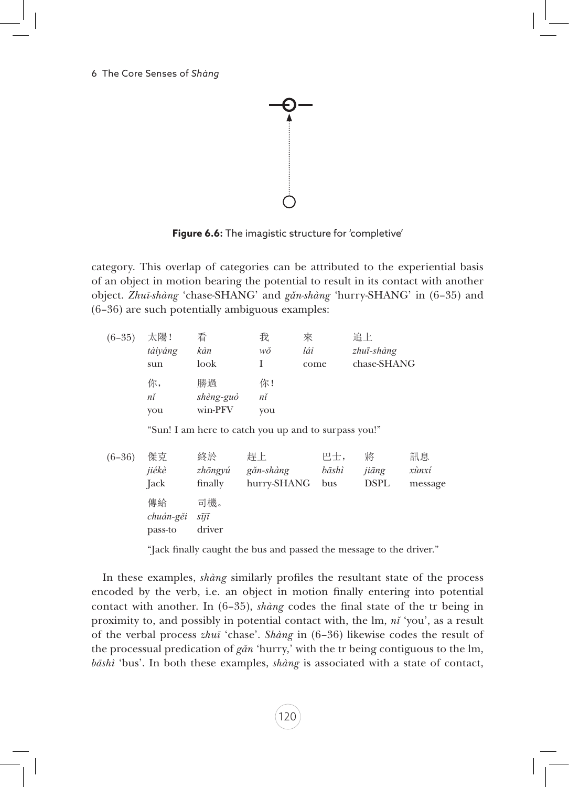

**Figure 6.6:** The imagistic structure for 'completive'

category. This overlap of categories can be attributed to the experiential basis of an object in motion bearing the potential to result in its contact with another object. *Zhuī-shàng* 'chase-SHANG' and *gǎn-shàng* 'hurry-SHANG' in (6–35) and (6–36) are such potentially ambiguous examples:

| $(6-35)$ | 太陽!       | 看                            | 我           | 來                                                    | 追上          |         |
|----------|-----------|------------------------------|-------------|------------------------------------------------------|-------------|---------|
|          | tàiyáng   | kàn                          | wŏ          | lái                                                  | zhuī-shàng  |         |
|          | sun       | look                         | I           | come                                                 | chase-SHANG |         |
|          | 你,        | 勝過                           | 你!          |                                                      |             |         |
|          | nĭ        | shèng-guò                    | nĭ          |                                                      |             |         |
|          | you       | win-PFV                      | you         |                                                      |             |         |
|          |           |                              |             | "Sun! I am here to catch you up and to surpass you!" |             |         |
| $(6-36)$ | 傑克        | 終於                           | 趕上          | 巴士,                                                  | 將           | 訊息      |
|          | jiékè     | zhōngyú                      | găn-shàng   | bāshì                                                | jiāng       | xùnxí   |
|          | Jack      | finally                      | hurry-SHANG | bus                                                  | <b>DSPL</b> | message |
|          | 傳給        | 司機。                          |             |                                                      |             |         |
|          | chuán-gěi | $s\overline{i}j\overline{i}$ |             |                                                      |             |         |
|          | pass-to   | driver                       |             |                                                      |             |         |

"Jack finally caught the bus and passed the message to the driver."

In these examples, *shàng* similarly profiles the resultant state of the process encoded by the verb, i.e. an object in motion finally entering into potential contact with another. In (6–35), *shàng* codes the final state of the tr being in proximity to, and possibly in potential contact with, the lm, *nǐ* 'you', as a result of the verbal process *zhuī* 'chase'. *Shàng* in (6–36) likewise codes the result of the processual predication of *gǎn* 'hurry,' with the tr being contiguous to the lm, *bāshì* 'bus'. In both these examples, *shàng* is associated with a state of contact,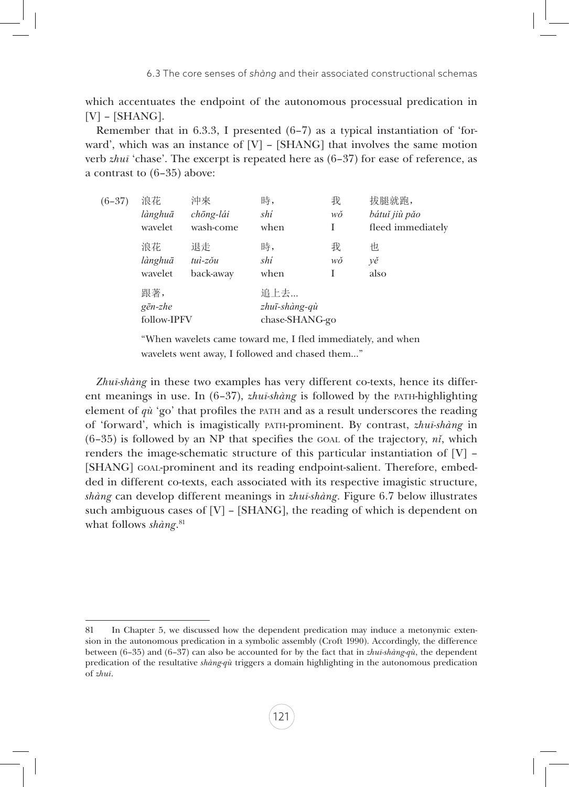which accentuates the endpoint of the autonomous processual predication in  $[V]$  – [SHANG].

Remember that in 6.3.3, I presented (6–7) as a typical instantiation of 'forward', which was an instance of [V] – [SHANG] that involves the same motion verb *zhuī* 'chase'. The excerpt is repeated here as (6–37) for ease of reference, as a contrast to (6–35) above:

| $(6-37)$ | 浪花                                     | 沖來                            | 時,                                      | 我       | 拔腿就跑,                              |
|----------|----------------------------------------|-------------------------------|-----------------------------------------|---------|------------------------------------|
|          | lànghuā<br>wavelet                     | chōng-lái<br>wash-come        | shí<br>when                             | wŏ<br>Ι | bátuť jiù pǎo<br>fleed immediately |
|          | 浪花<br>lànghuā<br>wavelet               | 退走<br>$tui$ -zŏu<br>back-away | 時,<br>shí<br>when                       | 我<br>wŏ | 怛<br>νě<br>also                    |
|          | 跟著,<br>$g\bar{e}n$ -zhe<br>follow-IPFV |                               | 追上去…<br>zhuī-shàng-qù<br>chase-SHANG-go |         |                                    |

"When wavelets came toward me, I fled immediately, and when wavelets went away, I followed and chased them…"

*Zhuī-shàng* in these two examples has very different co-texts, hence its different meanings in use. In (6-37), *zhuī-shàng* is followed by the PATH-highlighting element of *qù* 'go' that profiles the path and as a result underscores the reading of 'forward', which is imagistically path-prominent. By contrast, *zhuī-shàng* in  $(6-35)$  is followed by an NP that specifies the GOAL of the trajectory,  $n\ddot{i}$ , which renders the image-schematic structure of this particular instantiation of  $[V]$  – [SHANG] GOAL-prominent and its reading endpoint-salient. Therefore, embedded in different co-texts, each associated with its respective imagistic structure, *shàng* can develop different meanings in *zhuī-shàng*. Figure 6.7 below illustrates such ambiguous cases of  $[V] - [SHANG]$ , the reading of which is dependent on what follows *shàng*. 81

<sup>81</sup> In Chapter 5, we discussed how the dependent predication may induce a metonymic extension in the autonomous predication in a symbolic assembly (Croft 1990). Accordingly, the difference between (6–35) and (6–37) can also be accounted for by the fact that in *zhuī-shàng-qù*, the dependent predication of the resultative *shàng-qù* triggers a domain highlighting in the autonomous predication of *zhuī*.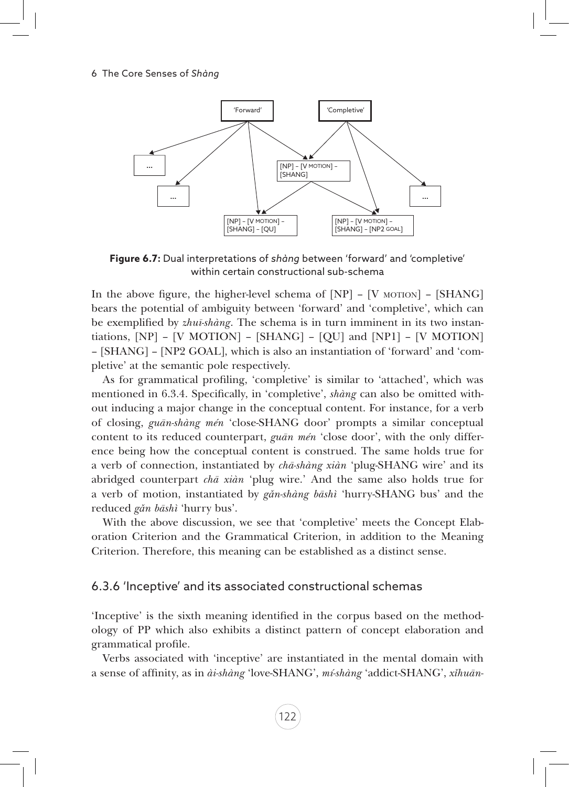

**Figure 6.7:** Dual interpretations of *shàng* between 'forward' and 'completive' within certain constructional sub-schema

In the above figure, the higher-level schema of  $[NP] - [V \text{ MOTION}] - [SHANG]$ bears the potential of ambiguity between 'forward' and 'completive', which can be exemplified by *zhuī-shàng*. The schema is in turn imminent in its two instantiations, [NP] – [V MOTION] – [SHANG] – [QU] and [NP1] – [V MOTION] – [SHANG] – [NP2 GOAL], which is also an instantiation of 'forward' and 'completive' at the semantic pole respectively.

As for grammatical profiling, 'completive' is similar to 'attached', which was mentioned in 6.3.4. Specifically, in 'completive', *shàng* can also be omitted without inducing a major change in the conceptual content. For instance, for a verb of closing, *guān-shàng mén* 'close-SHANG door' prompts a similar conceptual content to its reduced counterpart, *guān mén* 'close door', with the only difference being how the conceptual content is construed. The same holds true for a verb of connection, instantiated by *chā-shàng xiàn* 'plug-SHANG wire' and its abridged counterpart *chā xiàn* 'plug wire.' And the same also holds true for a verb of motion, instantiated by *gǎn-shàng bāshì* 'hurry-SHANG bus' and the reduced *gǎn bāshì* 'hurry bus'.

With the above discussion, we see that 'completive' meets the Concept Elaboration Criterion and the Grammatical Criterion, in addition to the Meaning Criterion. Therefore, this meaning can be established as a distinct sense.

#### 6.3.6 'Inceptive' and its associated constructional schemas

'Inceptive' is the sixth meaning identified in the corpus based on the methodology of PP which also exhibits a distinct pattern of concept elaboration and grammatical profile.

Verbs associated with 'inceptive' are instantiated in the mental domain with a sense of affinity, as in *ài-shàng* 'love-SHANG', *mí-shàng* 'addict-SHANG', *xǐhuān-*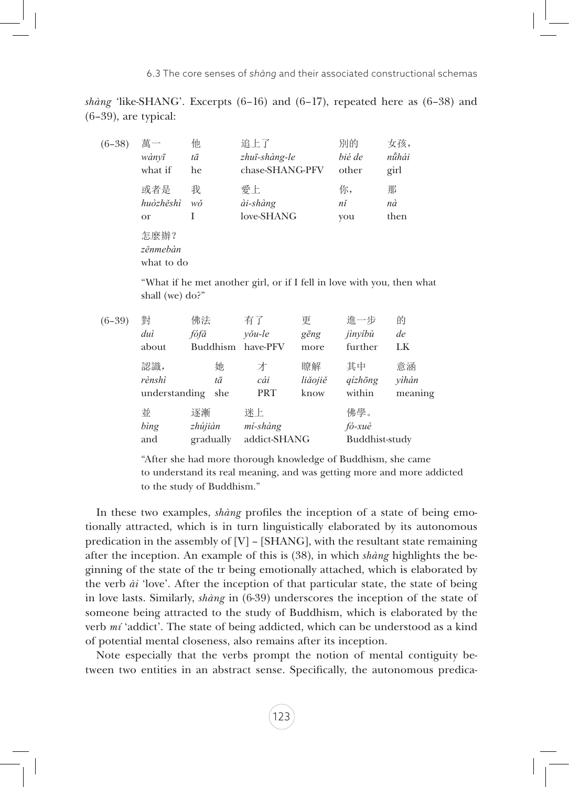*shàng* 'like-SHANG'. Excerpts  $(6-16)$  and  $(6-17)$ , repeated here as  $(6-38)$  and (6–39), are typical:

| $(6-38)$ | 萬一                             | 他  | 追上了             | 別的     | 女孩,   |
|----------|--------------------------------|----|-----------------|--------|-------|
|          | wànvī                          | tā | zhuī-shàng-le   | bié de | nǚhái |
|          | what if                        | he | chase-SHANG-PFV | other  | girl  |
|          | 或者是                            | 我  | 愛上              | 你,     | 那     |
|          | huòzhěshì                      | wŏ | ài-shàng        | nĭ     | nà    |
|          | <sub>or</sub>                  | I  | love-SHANG      | you    | then  |
|          | 怎麼辦?<br>zěnmebàn<br>what to do |    |                 |        |       |

"What if he met another girl, or if I fell in love with you, then what shall (we) do?"

| $(6-39)$ | 對                | 佛法                         | 有了                             | 更       | 進一步                             | 的       |
|----------|------------------|----------------------------|--------------------------------|---------|---------------------------------|---------|
|          | duì              | fófă                       | $v\delta u$ -le                | gēng    | jìnyíbù                         | de      |
|          | about            | <b>Buddhism</b>            | have-PFV                       | more    | further                         | LK      |
|          | 認識,              | 她                          | 才                              | 瞭解      | 其中                              | 意涵      |
|          | rènshì           | tā                         | cái                            | liăojiě | $qizh\bar{o}ng$                 | yìhán   |
|          | understanding    | she                        | PRT                            | know    | within                          | meaning |
|          | 並<br>bing<br>and | 逐漸<br>zhújiàn<br>gradually | 迷上<br>mí-shàng<br>addict-SHANG |         | 佛學。<br>fó-xué<br>Buddhist-study |         |

"After she had more thorough knowledge of Buddhism, she came to understand its real meaning, and was getting more and more addicted to the study of Buddhism."

In these two examples, *shàng* profiles the inception of a state of being emotionally attracted, which is in turn linguistically elaborated by its autonomous predication in the assembly of  $[V]$  – [SHANG], with the resultant state remaining after the inception. An example of this is (38), in which *shàng* highlights the beginning of the state of the tr being emotionally attached, which is elaborated by the verb *ài* 'love'. After the inception of that particular state, the state of being in love lasts. Similarly, *shàng* in (6-39) underscores the inception of the state of someone being attracted to the study of Buddhism, which is elaborated by the verb *mí* 'addict'. The state of being addicted, which can be understood as a kind of potential mental closeness, also remains after its inception.

Note especially that the verbs prompt the notion of mental contiguity between two entities in an abstract sense. Specifically, the autonomous predica-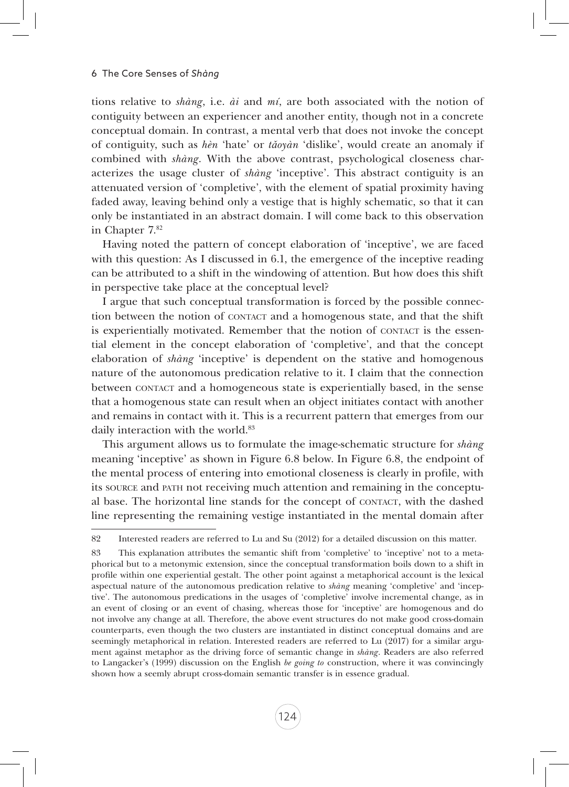tions relative to *shàng*, i.e. *ài* and *mí*, are both associated with the notion of contiguity between an experiencer and another entity, though not in a concrete conceptual domain. In contrast, a mental verb that does not invoke the concept of contiguity, such as *hèn* 'hate' or *tǎoyàn* 'dislike', would create an anomaly if combined with *shàng*. With the above contrast, psychological closeness characterizes the usage cluster of *shàng* 'inceptive'. This abstract contiguity is an attenuated version of 'completive', with the element of spatial proximity having faded away, leaving behind only a vestige that is highly schematic, so that it can only be instantiated in an abstract domain. I will come back to this observation in Chapter 7.<sup>82</sup>

Having noted the pattern of concept elaboration of 'inceptive', we are faced with this question: As I discussed in 6.1, the emergence of the inceptive reading can be attributed to a shift in the windowing of attention. But how does this shift in perspective take place at the conceptual level?

I argue that such conceptual transformation is forced by the possible connection between the notion of CONTACT and a homogenous state, and that the shift is experientially motivated. Remember that the notion of CONTACT is the essential element in the concept elaboration of 'completive', and that the concept elaboration of *shàng* 'inceptive' is dependent on the stative and homogenous nature of the autonomous predication relative to it. I claim that the connection between contact and a homogeneous state is experientially based, in the sense that a homogenous state can result when an object initiates contact with another and remains in contact with it. This is a recurrent pattern that emerges from our daily interaction with the world.<sup>83</sup>

This argument allows us to formulate the image-schematic structure for *shàng* meaning 'inceptive' as shown in Figure 6.8 below. In Figure 6.8, the endpoint of the mental process of entering into emotional closeness is clearly in profile, with its source and path not receiving much attention and remaining in the conceptual base. The horizontal line stands for the concept of contact, with the dashed line representing the remaining vestige instantiated in the mental domain after

<sup>82</sup> Interested readers are referred to Lu and Su (2012) for a detailed discussion on this matter.

<sup>83</sup> This explanation attributes the semantic shift from 'completive' to 'inceptive' not to a metaphorical but to a metonymic extension, since the conceptual transformation boils down to a shift in profile within one experiential gestalt. The other point against a metaphorical account is the lexical aspectual nature of the autonomous predication relative to *shàng* meaning 'completive' and 'inceptive'. The autonomous predications in the usages of 'completive' involve incremental change, as in an event of closing or an event of chasing, whereas those for 'inceptive' are homogenous and do not involve any change at all. Therefore, the above event structures do not make good cross-domain counterparts, even though the two clusters are instantiated in distinct conceptual domains and are seemingly metaphorical in relation. Interested readers are referred to Lu (2017) for a similar argument against metaphor as the driving force of semantic change in *shàng*. Readers are also referred to Langacker's (1999) discussion on the English *be going to* construction, where it was convincingly shown how a seemly abrupt cross-domain semantic transfer is in essence gradual.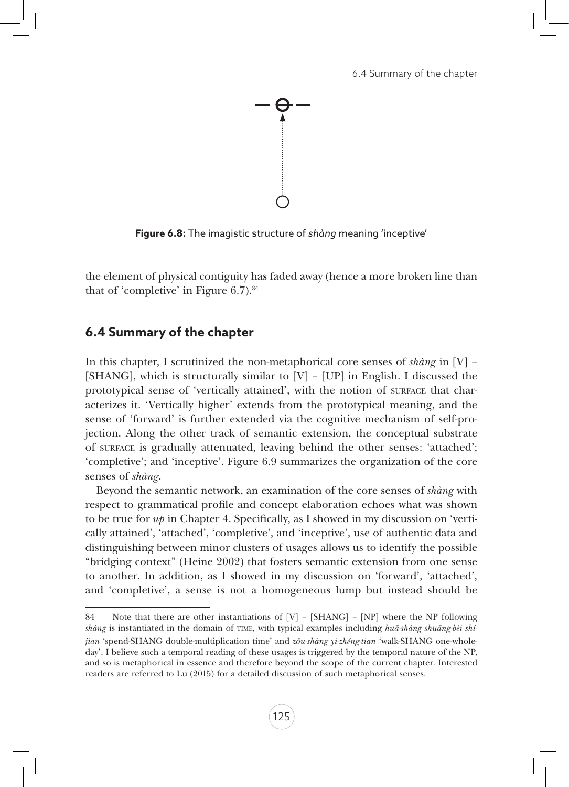

**Figure 6.8:** The imagistic structure of *shàng* meaning 'inceptive'

the element of physical contiguity has faded away (hence a more broken line than that of 'completive' in Figure  $6.7$ ).<sup>84</sup>

## **6.4 Summary of the chapter**

In this chapter, I scrutinized the non-metaphorical core senses of *shàng* in [V] – [SHANG], which is structurally similar to  $[V]$  –  $[UP]$  in English. I discussed the prototypical sense of 'vertically attained', with the notion of surface that characterizes it. 'Vertically higher' extends from the prototypical meaning, and the sense of 'forward' is further extended via the cognitive mechanism of self-projection. Along the other track of semantic extension, the conceptual substrate of surface is gradually attenuated, leaving behind the other senses: 'attached'; 'completive'; and 'inceptive'. Figure 6.9 summarizes the organization of the core senses of *shàng*.

Beyond the semantic network, an examination of the core senses of *shàng* with respect to grammatical profile and concept elaboration echoes what was shown to be true for *up* in Chapter 4. Specifically, as I showed in my discussion on 'vertically attained', 'attached', 'completive', and 'inceptive', use of authentic data and distinguishing between minor clusters of usages allows us to identify the possible "bridging context" (Heine 2002) that fosters semantic extension from one sense to another. In addition, as I showed in my discussion on 'forward', 'attached', and 'completive', a sense is not a homogeneous lump but instead should be

<sup>84</sup> Note that there are other instantiations of [V] – [SHANG] – [NP] where the NP following *shàng* is instantiated in the domain of time, with typical examples including *huā-shàng shuāng-bèi shíjiān* 'spend-SHANG double-multiplication time' and *zǒu-shàng yì-zhěng-tiān* 'walk-SHANG one-wholeday'. I believe such a temporal reading of these usages is triggered by the temporal nature of the NP, and so is metaphorical in essence and therefore beyond the scope of the current chapter. Interested readers are referred to Lu (2015) for a detailed discussion of such metaphorical senses.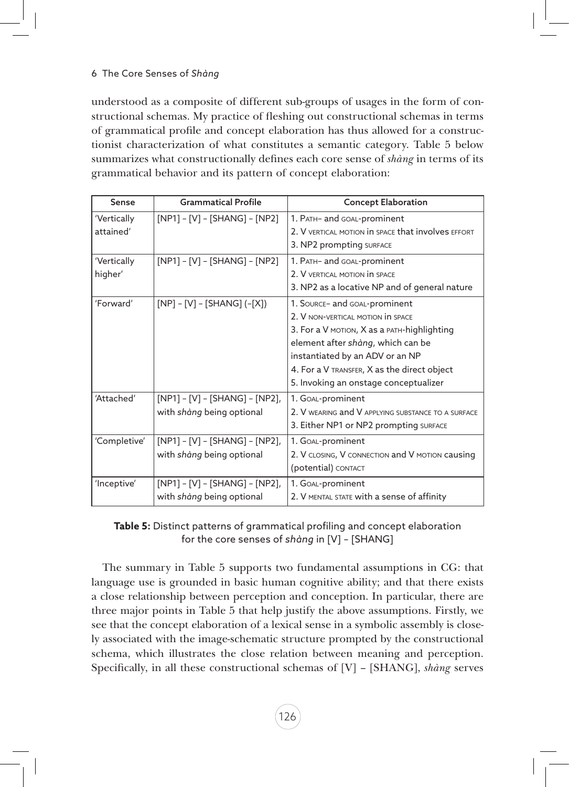understood as a composite of different sub-groups of usages in the form of constructional schemas. My practice of fleshing out constructional schemas in terms of grammatical profile and concept elaboration has thus allowed for a constructionist characterization of what constitutes a semantic category. Table 5 below summarizes what constructionally defines each core sense of *shàng* in terms of its grammatical behavior and its pattern of concept elaboration:

| Sense                    | <b>Grammatical Profile</b>                                  | <b>Concept Elaboration</b>                                                                                                                                                                                                                                                        |
|--------------------------|-------------------------------------------------------------|-----------------------------------------------------------------------------------------------------------------------------------------------------------------------------------------------------------------------------------------------------------------------------------|
| 'Vertically<br>attained' | $[NP1] - [V] - [SHANG] - [NP2]$                             | 1. PATH- and GOAL-prominent<br>2. V VERTICAL MOTION IN SPACE that involves EFFORT<br>3. NP2 prompting SURFACE                                                                                                                                                                     |
| 'Vertically<br>higher'   | $[NP1] - [V] - [SHANG] - [NP2]$                             | 1. PATH- and GOAL-prominent<br>2. V VERTICAL MOTION IN SPACE<br>3. NP2 as a locative NP and of general nature                                                                                                                                                                     |
| 'Forward'                | $[NP] - [V] - [SHANG] (-[X])$                               | 1. SOURCE- and GOAL-prominent<br>2. V NON-VERTICAL MOTION IN SPACE<br>3. For a V MOTION, X as a PATH-highlighting<br>element after shàng, which can be<br>instantiated by an ADV or an NP<br>4. For a V TRANSFER, X as the direct object<br>5. Invoking an onstage conceptualizer |
| 'Attached'               | [NP1] - [V] - [SHANG] - [NP2],<br>with shàng being optional | 1. GOAL-prominent<br>2. V WEARING and V APPLYING SUBSTANCE TO A SURFACE<br>3. Either NP1 or NP2 prompting SURFACE                                                                                                                                                                 |
| 'Completive'             | [NP1] - [V] - [SHANG] - [NP2],<br>with shàng being optional | 1. GOAL-prominent<br>2. V CLOSING, V CONNECTION and V MOTION causing<br>(potential) CONTACT                                                                                                                                                                                       |
| 'Inceptive'              | [NP1] - [V] - [SHANG] - [NP2],<br>with shàng being optional | 1. GOAL-prominent<br>2. V MENTAL STATE with a sense of affinity                                                                                                                                                                                                                   |

| Table 5: Distinct patterns of grammatical profiling and concept elaboration |
|-----------------------------------------------------------------------------|
| for the core senses of shàng in [V] - [SHANG]                               |

The summary in Table 5 supports two fundamental assumptions in CG: that language use is grounded in basic human cognitive ability; and that there exists a close relationship between perception and conception. In particular, there are three major points in Table 5 that help justify the above assumptions. Firstly, we see that the concept elaboration of a lexical sense in a symbolic assembly is closely associated with the image-schematic structure prompted by the constructional schema, which illustrates the close relation between meaning and perception. Specifically, in all these constructional schemas of [V] – [SHANG], *shàng* serves